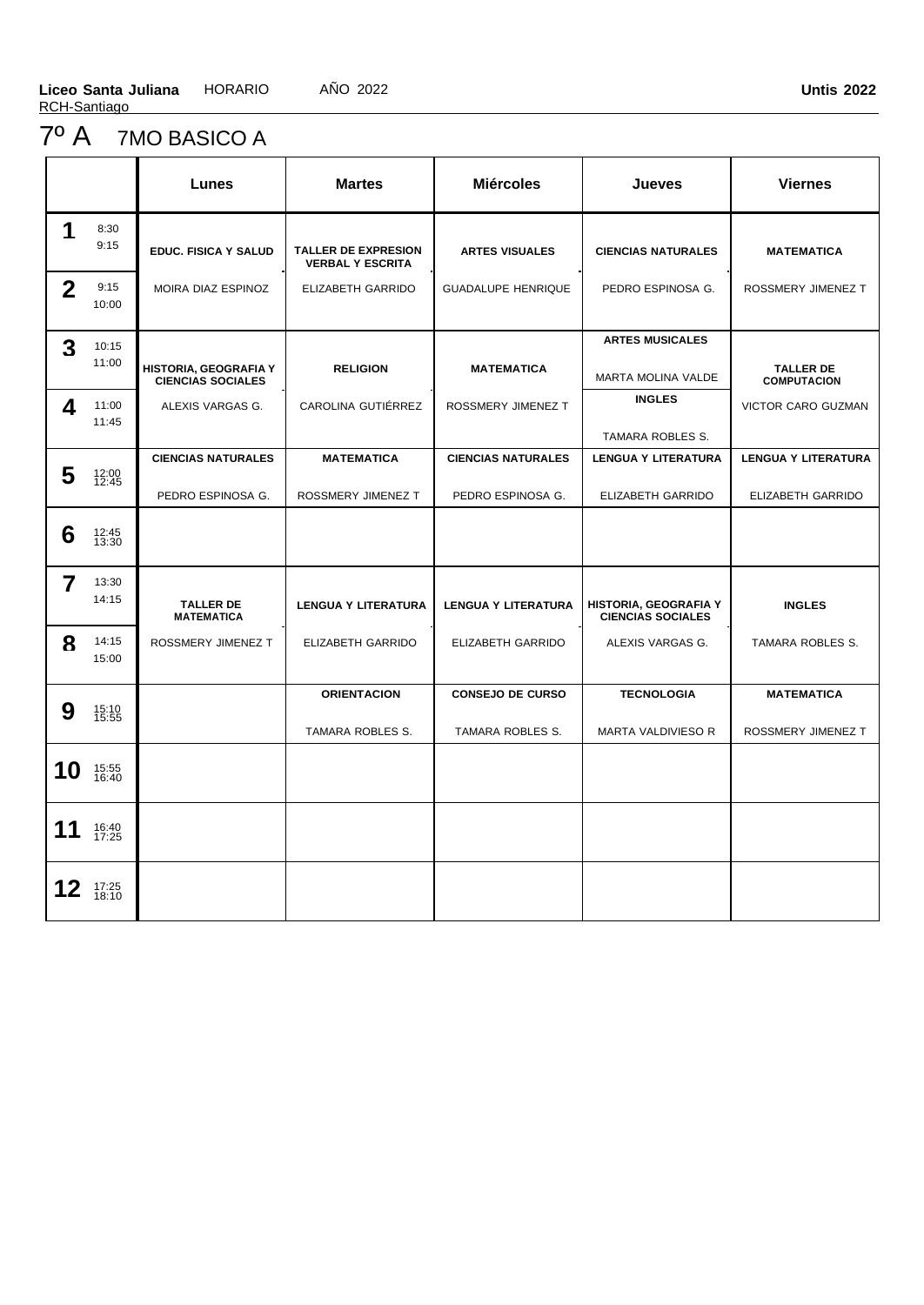# 7º A 7MO BASICO A

|                |                | Lunes                                             | <b>Martes</b>                                         | <b>Miércoles</b>           | <b>Jueves</b>                                     | <b>Viernes</b>                         |
|----------------|----------------|---------------------------------------------------|-------------------------------------------------------|----------------------------|---------------------------------------------------|----------------------------------------|
| 1              | 8:30<br>9:15   | <b>EDUC. FISICA Y SALUD</b>                       | <b>TALLER DE EXPRESION</b><br><b>VERBAL Y ESCRITA</b> | <b>ARTES VISUALES</b>      | <b>CIENCIAS NATURALES</b>                         | <b>MATEMATICA</b>                      |
| $\overline{2}$ | 9:15<br>10:00  | MOIRA DIAZ ESPINOZ                                | ELIZABETH GARRIDO                                     | <b>GUADALUPE HENRIQUE</b>  | PEDRO ESPINOSA G.                                 | ROSSMERY JIMENEZ T                     |
| 3              | 10:15<br>11:00 | HISTORIA, GEOGRAFIA Y<br><b>CIENCIAS SOCIALES</b> | <b>RELIGION</b>                                       | <b>MATEMATICA</b>          | <b>ARTES MUSICALES</b><br>MARTA MOLINA VALDE      | <b>TALLER DE</b><br><b>COMPUTACION</b> |
| 4              | 11:00<br>11:45 | ALEXIS VARGAS G.                                  | CAROLINA GUTIÉRREZ                                    | ROSSMERY JIMENEZ T         | <b>INGLES</b><br>TAMARA ROBLES S.                 | VICTOR CARO GUZMAN                     |
|                |                | <b>CIENCIAS NATURALES</b>                         | <b>MATEMATICA</b>                                     | <b>CIENCIAS NATURALES</b>  | <b>LENGUA Y LITERATURA</b>                        | <b>LENGUA Y LITERATURA</b>             |
| 5              | 12:00<br>12:45 | PEDRO ESPINOSA G.                                 | ROSSMERY JIMENEZ T                                    | PEDRO ESPINOSA G.          | <b>ELIZABETH GARRIDO</b>                          | ELIZABETH GARRIDO                      |
| 6              | 12:45<br>13:30 |                                                   |                                                       |                            |                                                   |                                        |
| $\overline{7}$ | 13:30<br>14:15 | <b>TALLER DE</b><br><b>MATEMATICA</b>             | <b>LENGUA Y LITERATURA</b>                            | <b>LENGUA Y LITERATURA</b> | HISTORIA, GEOGRAFIA Y<br><b>CIENCIAS SOCIALES</b> | <b>INGLES</b>                          |
| 8              | 14:15<br>15:00 | ROSSMERY JIMENEZ T                                | ELIZABETH GARRIDO                                     | <b>ELIZABETH GARRIDO</b>   | ALEXIS VARGAS G.                                  | TAMARA ROBLES S.                       |
|                |                |                                                   | <b>ORIENTACION</b>                                    | <b>CONSEJO DE CURSO</b>    | <b>TECNOLOGIA</b>                                 | <b>MATEMATICA</b>                      |
| 9              | 15:10<br>15:55 |                                                   | TAMARA ROBLES S.                                      | TAMARA ROBLES S.           | MARTA VALDIVIESO R                                | ROSSMERY JIMENEZ T                     |
| 10             | 15:55<br>16:40 |                                                   |                                                       |                            |                                                   |                                        |
| 11             | 16:40<br>17:25 |                                                   |                                                       |                            |                                                   |                                        |
| 12             | 17:25<br>18:10 |                                                   |                                                       |                            |                                                   |                                        |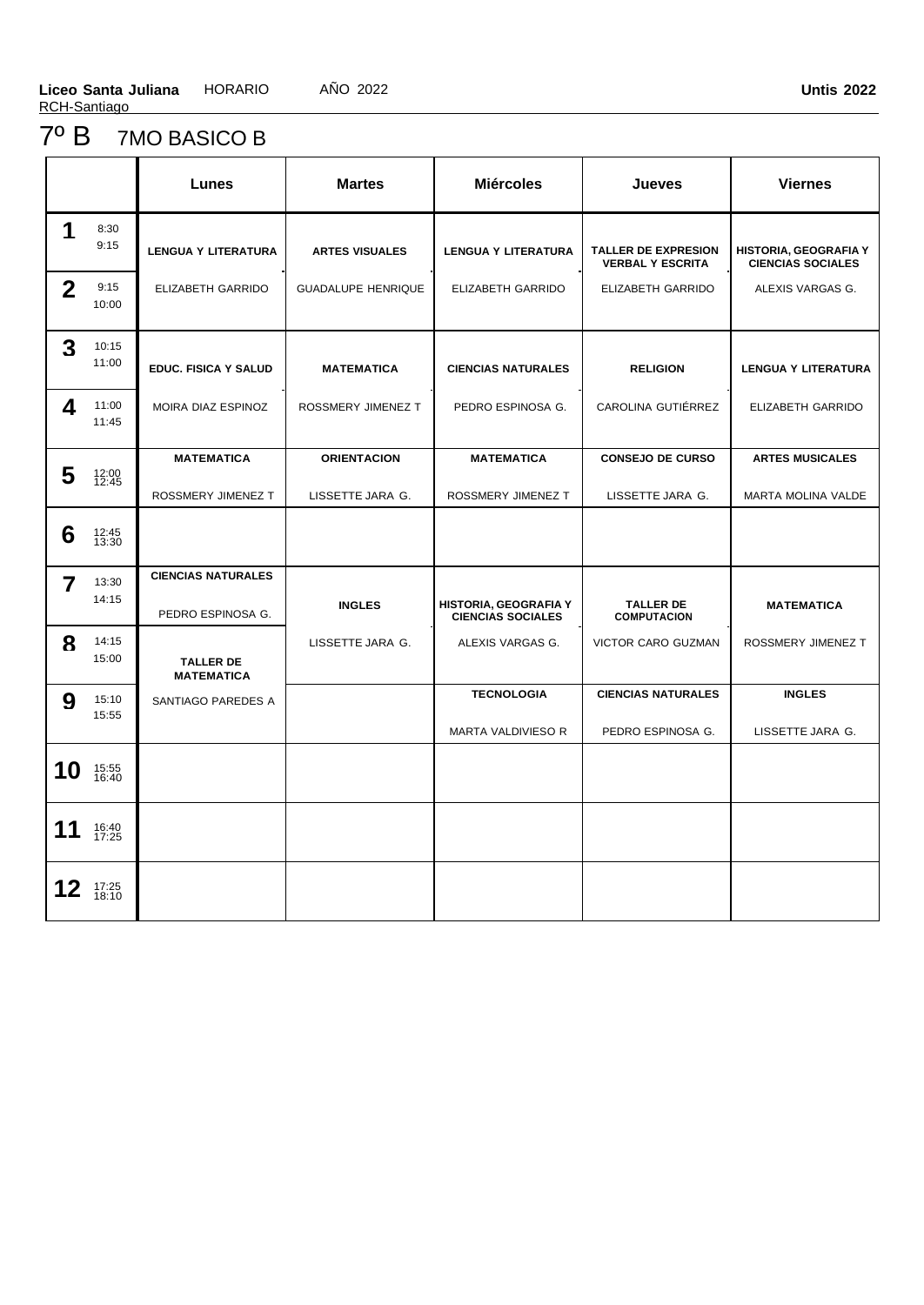### 7º B 7MO BASICO B

|              |                | <b>Lunes</b>                          | <b>Martes</b>             | <b>Miércoles</b>                                  | <b>Jueves</b>                                         | <b>Viernes</b>                                    |
|--------------|----------------|---------------------------------------|---------------------------|---------------------------------------------------|-------------------------------------------------------|---------------------------------------------------|
| 1            | 8:30<br>9:15   | <b>LENGUA Y LITERATURA</b>            | <b>ARTES VISUALES</b>     | <b>LENGUA Y LITERATURA</b>                        | <b>TALLER DE EXPRESION</b><br><b>VERBAL Y ESCRITA</b> | HISTORIA, GEOGRAFIA Y<br><b>CIENCIAS SOCIALES</b> |
| $\mathbf{2}$ | 9:15<br>10:00  | ELIZABETH GARRIDO                     | <b>GUADALUPE HENRIQUE</b> | ELIZABETH GARRIDO                                 | ELIZABETH GARRIDO                                     | ALEXIS VARGAS G.                                  |
| 3            | 10:15<br>11:00 | <b>EDUC. FISICA Y SALUD</b>           | <b>MATEMATICA</b>         | <b>CIENCIAS NATURALES</b>                         | <b>RELIGION</b>                                       | <b>LENGUA Y LITERATURA</b>                        |
| 4            | 11:00<br>11:45 | MOIRA DIAZ ESPINOZ                    | ROSSMERY JIMENEZ T        | PEDRO ESPINOSA G.                                 | CAROLINA GUTIÉRREZ                                    | ELIZABETH GARRIDO                                 |
|              |                | <b>MATEMATICA</b>                     | <b>ORIENTACION</b>        | <b>MATEMATICA</b>                                 | <b>CONSEJO DE CURSO</b>                               | <b>ARTES MUSICALES</b>                            |
| 5            | 12:00<br>12:45 | ROSSMERY JIMENEZ T                    | LISSETTE JARA G.          | ROSSMERY JIMENEZ T                                | LISSETTE JARA G.                                      | <b>MARTA MOLINA VALDE</b>                         |
| 6            | 12:45<br>13:30 |                                       |                           |                                                   |                                                       |                                                   |
| 7            | 13:30          | <b>CIENCIAS NATURALES</b>             |                           |                                                   |                                                       |                                                   |
|              | 14:15          | PEDRO ESPINOSA G.                     | <b>INGLES</b>             | HISTORIA, GEOGRAFIA Y<br><b>CIENCIAS SOCIALES</b> | <b>TALLER DE</b><br><b>COMPUTACION</b>                | <b>MATEMATICA</b>                                 |
| 8            | 14:15<br>15:00 | <b>TALLER DE</b><br><b>MATEMATICA</b> | LISSETTE JARA G.          | ALEXIS VARGAS G.                                  | VICTOR CARO GUZMAN                                    | ROSSMERY JIMENEZ T                                |
| 9            | 15:10          | SANTIAGO PAREDES A                    |                           | <b>TECNOLOGIA</b>                                 | <b>CIENCIAS NATURALES</b>                             | <b>INGLES</b>                                     |
|              | 15:55          |                                       |                           | MARTA VALDIVIESO R                                | PEDRO ESPINOSA G.                                     | LISSETTE JARA G.                                  |
| 10           | 15:55<br>16:40 |                                       |                           |                                                   |                                                       |                                                   |
| 11           | 16:40<br>17:25 |                                       |                           |                                                   |                                                       |                                                   |
| 12           | 17:25<br>18:10 |                                       |                           |                                                   |                                                       |                                                   |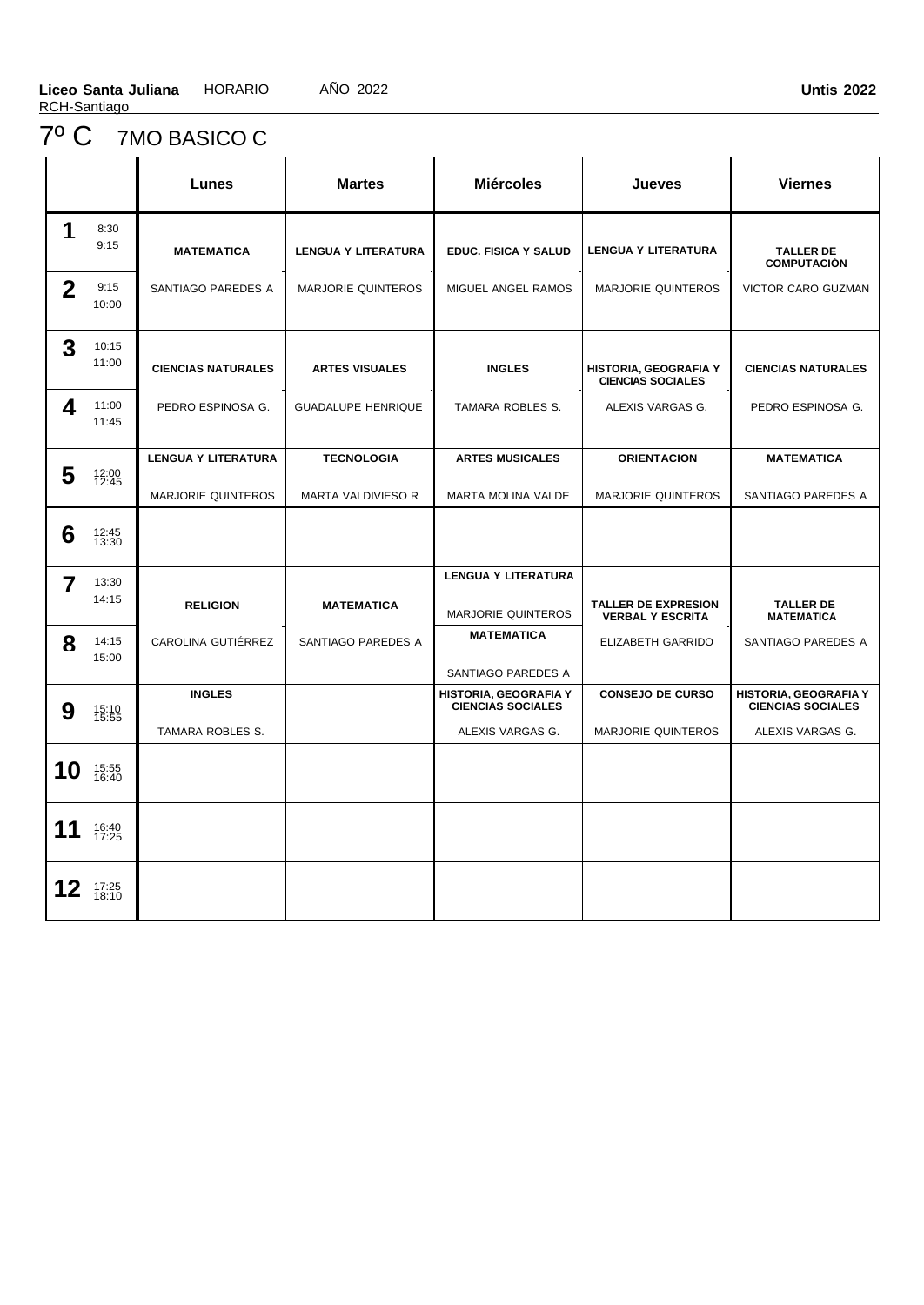# 7º C 7MO BASICO C

|                |                | Lunes                      | <b>Martes</b>              | <b>Miércoles</b>                                         | <b>Jueves</b>                                         | <b>Viernes</b>                                           |
|----------------|----------------|----------------------------|----------------------------|----------------------------------------------------------|-------------------------------------------------------|----------------------------------------------------------|
| 1              | 8:30<br>9:15   | <b>MATEMATICA</b>          | <b>LENGUA Y LITERATURA</b> | <b>EDUC. FISICA Y SALUD</b>                              | <b>LENGUA Y LITERATURA</b>                            | <b>TALLER DE</b><br><b>COMPUTACIÓN</b>                   |
| $\overline{2}$ | 9:15<br>10:00  | SANTIAGO PAREDES A         | <b>MARJORIE QUINTEROS</b>  | MIGUEL ANGEL RAMOS                                       | <b>MARJORIE QUINTEROS</b>                             | VICTOR CARO GUZMAN                                       |
| 3              | 10:15<br>11:00 | <b>CIENCIAS NATURALES</b>  | <b>ARTES VISUALES</b>      | <b>INGLES</b>                                            | HISTORIA, GEOGRAFIA Y<br><b>CIENCIAS SOCIALES</b>     | <b>CIENCIAS NATURALES</b>                                |
| 4              | 11:00<br>11:45 | PEDRO ESPINOSA G.          | <b>GUADALUPE HENRIQUE</b>  | <b>TAMARA ROBLES S.</b>                                  | ALEXIS VARGAS G.                                      | PEDRO ESPINOSA G.                                        |
|                |                | <b>LENGUA Y LITERATURA</b> | <b>TECNOLOGIA</b>          | <b>ARTES MUSICALES</b>                                   | <b>ORIENTACION</b>                                    | <b>MATEMATICA</b>                                        |
| 5              | 12:00<br>12:45 | <b>MARJORIE QUINTEROS</b>  | <b>MARTA VALDIVIESO R</b>  | MARTA MOLINA VALDE                                       | <b>MARJORIE QUINTEROS</b>                             | SANTIAGO PAREDES A                                       |
| 6              | 12:45<br>13:30 |                            |                            |                                                          |                                                       |                                                          |
| 7              | 13:30          |                            |                            | <b>LENGUA Y LITERATURA</b>                               |                                                       |                                                          |
|                | 14:15          | <b>RELIGION</b>            | <b>MATEMATICA</b>          | MARJORIE QUINTEROS                                       | <b>TALLER DE EXPRESION</b><br><b>VERBAL Y ESCRITA</b> | <b>TALLER DE</b><br><b>MATEMATICA</b>                    |
| 8              | 14:15<br>15:00 | CAROLINA GUTIÉRREZ         | SANTIAGO PAREDES A         | <b>MATEMATICA</b>                                        | ELIZABETH GARRIDO                                     | SANTIAGO PAREDES A                                       |
|                |                |                            |                            | SANTIAGO PAREDES A                                       |                                                       |                                                          |
| 9              | 15:10<br>15:55 | <b>INGLES</b>              |                            | <b>HISTORIA, GEOGRAFIA Y</b><br><b>CIENCIAS SOCIALES</b> | <b>CONSEJO DE CURSO</b>                               | <b>HISTORIA, GEOGRAFIA Y</b><br><b>CIENCIAS SOCIALES</b> |
|                |                | TAMARA ROBLES S.           |                            | ALEXIS VARGAS G.                                         | <b>MARJORIE QUINTEROS</b>                             | ALEXIS VARGAS G.                                         |
| 10             | 15:55<br>16:40 |                            |                            |                                                          |                                                       |                                                          |
| 11             | 16:40<br>17:25 |                            |                            |                                                          |                                                       |                                                          |
| 12             | 17:25<br>18:10 |                            |                            |                                                          |                                                       |                                                          |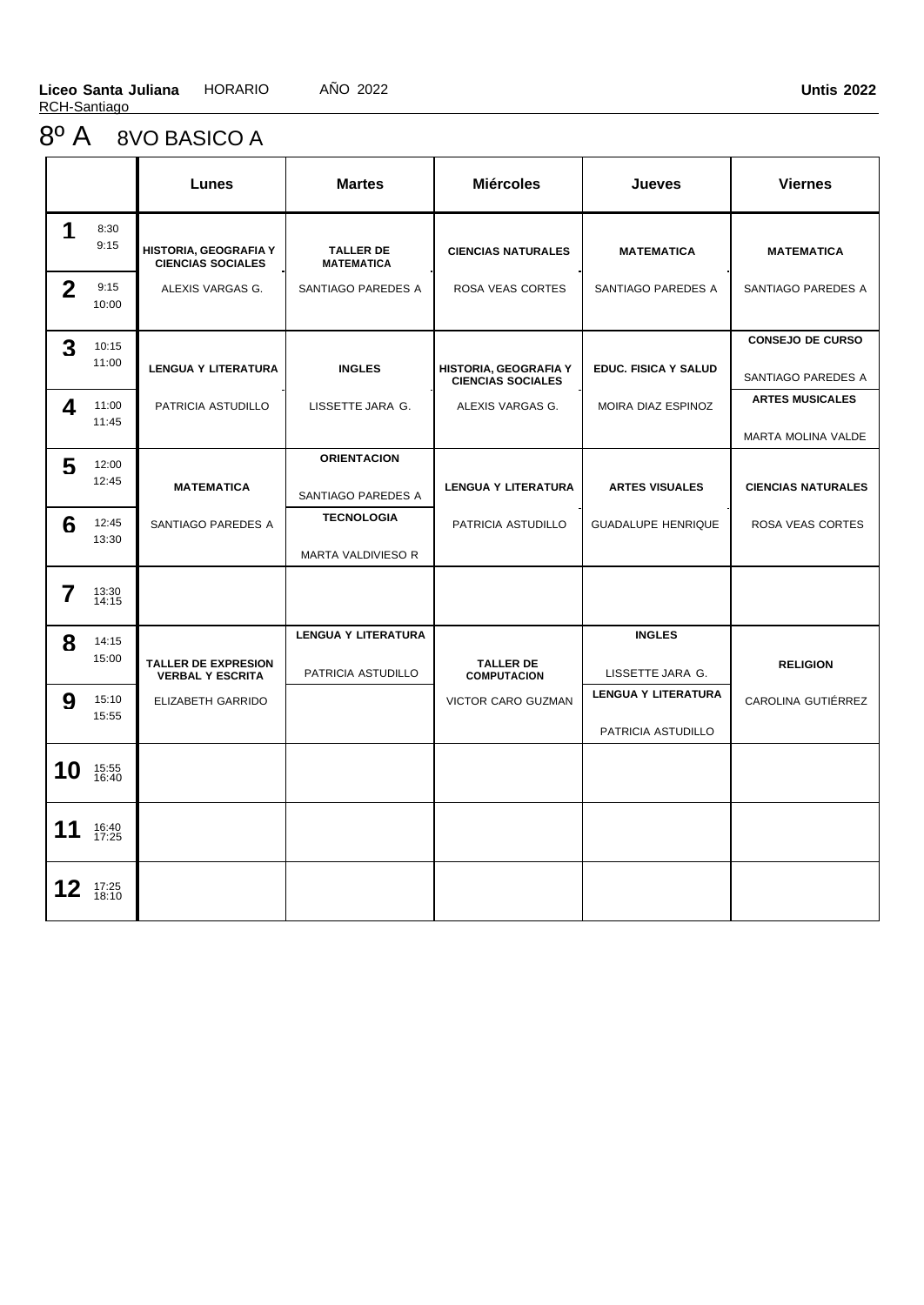### 8º A 8VO BASICO A

|              |                | Lunes                                                 | <b>Martes</b>                         | <b>Miércoles</b>                                  | <b>Jueves</b>              | <b>Viernes</b>            |
|--------------|----------------|-------------------------------------------------------|---------------------------------------|---------------------------------------------------|----------------------------|---------------------------|
| 1            | 8:30<br>9:15   | HISTORIA, GEOGRAFIA Y<br><b>CIENCIAS SOCIALES</b>     | <b>TALLER DE</b><br><b>MATEMATICA</b> | <b>CIENCIAS NATURALES</b>                         | <b>MATEMATICA</b>          | <b>MATEMATICA</b>         |
| $\mathbf{2}$ | 9:15<br>10:00  | ALEXIS VARGAS G.                                      | SANTIAGO PAREDES A                    | ROSA VEAS CORTES                                  | SANTIAGO PAREDES A         | SANTIAGO PAREDES A        |
| 3            | 10:15          |                                                       |                                       |                                                   |                            | <b>CONSEJO DE CURSO</b>   |
|              | 11:00          | <b>LENGUA Y LITERATURA</b>                            | <b>INGLES</b>                         | HISTORIA, GEOGRAFIA Y<br><b>CIENCIAS SOCIALES</b> | EDUC. FISICA Y SALUD       | SANTIAGO PAREDES A        |
| 4            | 11:00          | PATRICIA ASTUDILLO                                    | LISSETTE JARA G.                      | ALEXIS VARGAS G.                                  | MOIRA DIAZ ESPINOZ         | <b>ARTES MUSICALES</b>    |
|              | 11:45          |                                                       |                                       |                                                   |                            | <b>MARTA MOLINA VALDE</b> |
| 5            | 12:00          |                                                       | <b>ORIENTACION</b>                    |                                                   |                            |                           |
|              | 12:45          | <b>MATEMATICA</b>                                     | SANTIAGO PAREDES A                    | <b>LENGUA Y LITERATURA</b>                        | <b>ARTES VISUALES</b>      | <b>CIENCIAS NATURALES</b> |
| 6            | 12:45<br>13:30 | SANTIAGO PAREDES A                                    | <b>TECNOLOGIA</b>                     | PATRICIA ASTUDILLO                                | <b>GUADALUPE HENRIQUE</b>  | ROSA VEAS CORTES          |
|              |                |                                                       | MARTA VALDIVIESO R                    |                                                   |                            |                           |
| 7            | 13:30<br>14:15 |                                                       |                                       |                                                   |                            |                           |
| 8            | 14:15          |                                                       | <b>LENGUA Y LITERATURA</b>            |                                                   | <b>INGLES</b>              |                           |
|              | 15:00          | <b>TALLER DE EXPRESION</b><br><b>VERBAL Y ESCRITA</b> | PATRICIA ASTUDILLO                    | <b>TALLER DE</b><br><b>COMPUTACION</b>            | LISSETTE JARA G.           | <b>RELIGION</b>           |
| 9            | 15:10<br>15:55 | ELIZABETH GARRIDO                                     |                                       | VICTOR CARO GUZMAN                                | <b>LENGUA Y LITERATURA</b> | CAROLINA GUTIÉRREZ        |
|              |                |                                                       |                                       |                                                   | PATRICIA ASTUDILLO         |                           |
| 10           | 15:55<br>16:40 |                                                       |                                       |                                                   |                            |                           |
| 11           | 16:40<br>17:25 |                                                       |                                       |                                                   |                            |                           |
| 12           | 17:25<br>18:10 |                                                       |                                       |                                                   |                            |                           |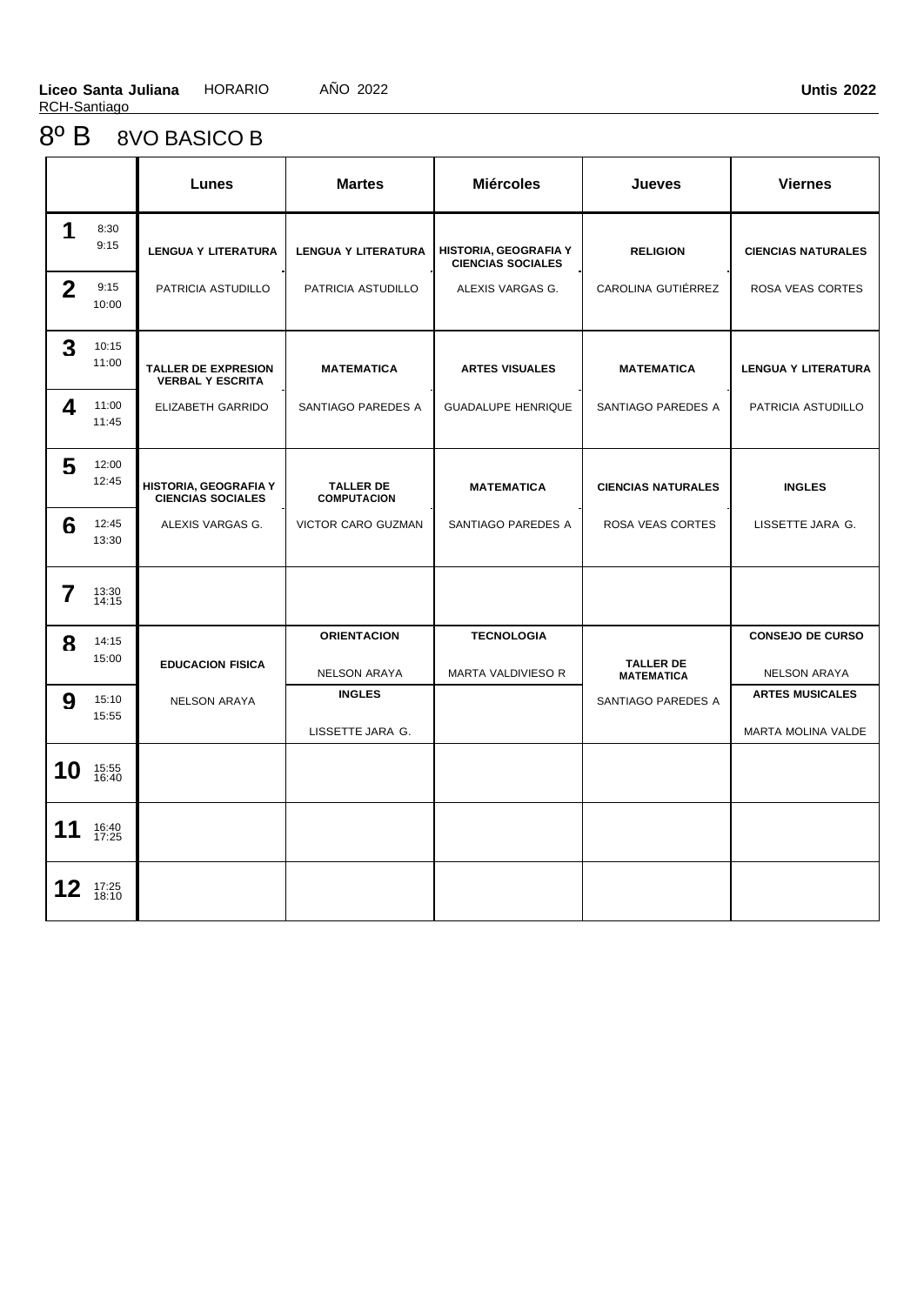# 8º B 8VO BASICO B

|              |                | Lunes                                                 | <b>Martes</b>                          | <b>Miércoles</b>                                         | <b>Jueves</b>                         | <b>Viernes</b>             |
|--------------|----------------|-------------------------------------------------------|----------------------------------------|----------------------------------------------------------|---------------------------------------|----------------------------|
| 1            | 8:30<br>9:15   | <b>LENGUA Y LITERATURA</b>                            | <b>LENGUA Y LITERATURA</b>             | <b>HISTORIA, GEOGRAFIA Y</b><br><b>CIENCIAS SOCIALES</b> | <b>RELIGION</b>                       | <b>CIENCIAS NATURALES</b>  |
| $\mathbf{2}$ | 9:15<br>10:00  | PATRICIA ASTUDILLO                                    | PATRICIA ASTUDILLO                     | ALEXIS VARGAS G.                                         | CAROLINA GUTIÉRREZ                    | ROSA VEAS CORTES           |
| 3            | 10:15<br>11:00 | <b>TALLER DE EXPRESION</b><br><b>VERBAL Y ESCRITA</b> | <b>MATEMATICA</b>                      | <b>ARTES VISUALES</b>                                    | <b>MATEMATICA</b>                     | <b>LENGUA Y LITERATURA</b> |
| 4            | 11:00<br>11:45 | ELIZABETH GARRIDO                                     | SANTIAGO PAREDES A                     | <b>GUADALUPE HENRIQUE</b>                                | SANTIAGO PAREDES A                    | PATRICIA ASTUDILLO         |
| 5            | 12:00<br>12:45 | HISTORIA, GEOGRAFIA Y<br><b>CIENCIAS SOCIALES</b>     | <b>TALLER DE</b><br><b>COMPUTACION</b> | <b>MATEMATICA</b>                                        | <b>CIENCIAS NATURALES</b>             | <b>INGLES</b>              |
| 6            | 12:45<br>13:30 | ALEXIS VARGAS G.                                      | <b>VICTOR CARO GUZMAN</b>              | SANTIAGO PAREDES A                                       | <b>ROSA VEAS CORTES</b>               | LISSETTE JARA G.           |
| 7            | 13:30<br>14:15 |                                                       |                                        |                                                          |                                       |                            |
| 8            | 14:15<br>15:00 |                                                       | <b>ORIENTACION</b>                     | <b>TECNOLOGIA</b>                                        |                                       | <b>CONSEJO DE CURSO</b>    |
|              |                | <b>EDUCACION FISICA</b>                               | <b>NELSON ARAYA</b>                    | MARTA VALDIVIESO R                                       | <b>TALLER DE</b><br><b>MATEMATICA</b> | <b>NELSON ARAYA</b>        |
| 9            | 15:10<br>15:55 | <b>NELSON ARAYA</b>                                   | <b>INGLES</b>                          |                                                          | SANTIAGO PAREDES A                    | <b>ARTES MUSICALES</b>     |
|              |                |                                                       | LISSETTE JARA G.                       |                                                          |                                       | MARTA MOLINA VALDE         |
| 10           | 15:55<br>16:40 |                                                       |                                        |                                                          |                                       |                            |
| 11           | 16:40<br>17:25 |                                                       |                                        |                                                          |                                       |                            |
| 12           | 17:25<br>18:10 |                                                       |                                        |                                                          |                                       |                            |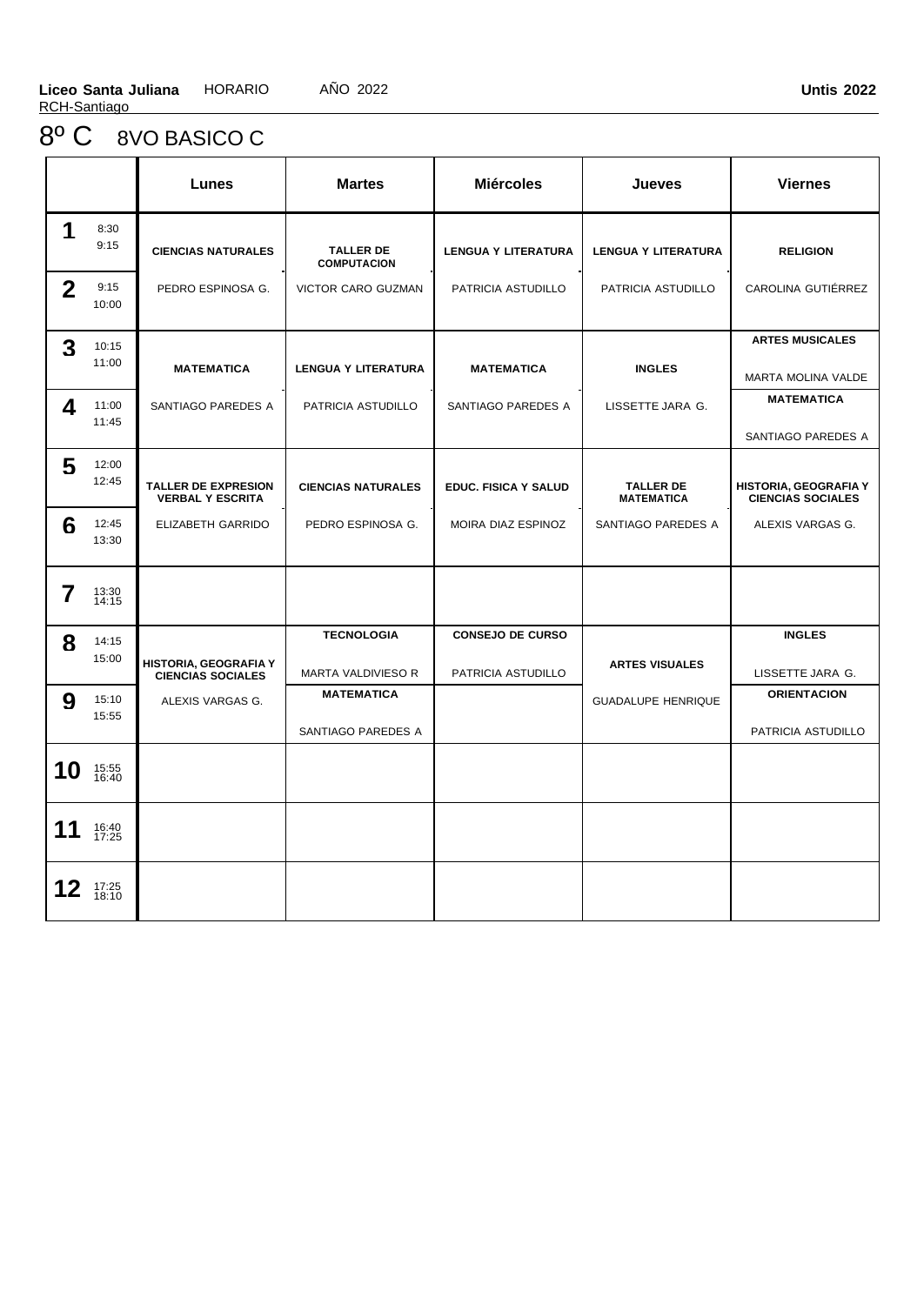# 8º C 8VO BASICO C

|              |                | Lunes                                                 | <b>Martes</b>                           | <b>Miércoles</b>                              | Jueves                                | <b>Viernes</b>                                    |
|--------------|----------------|-------------------------------------------------------|-----------------------------------------|-----------------------------------------------|---------------------------------------|---------------------------------------------------|
| 1            | 8:30<br>9:15   | <b>CIENCIAS NATURALES</b>                             | <b>TALLER DE</b><br><b>COMPUTACION</b>  | <b>LENGUA Y LITERATURA</b>                    | <b>LENGUA Y LITERATURA</b>            | <b>RELIGION</b>                                   |
| $\mathbf{2}$ | 9:15<br>10:00  | PEDRO ESPINOSA G.                                     | VICTOR CARO GUZMAN                      | PATRICIA ASTUDILLO                            | PATRICIA ASTUDILLO                    | CAROLINA GUTIÉRREZ                                |
| 3            | 10:15<br>11:00 | <b>MATEMATICA</b>                                     | <b>LENGUA Y LITERATURA</b>              | <b>MATEMATICA</b>                             | <b>INGLES</b>                         | <b>ARTES MUSICALES</b><br>MARTA MOLINA VALDE      |
| 4            | 11:00<br>11:45 | SANTIAGO PAREDES A                                    | PATRICIA ASTUDILLO                      | SANTIAGO PAREDES A                            | LISSETTE JARA G.                      | MATEMATICA<br>SANTIAGO PAREDES A                  |
| 5            | 12:00<br>12:45 | <b>TALLER DE EXPRESION</b><br><b>VERBAL Y ESCRITA</b> | <b>CIENCIAS NATURALES</b>               | EDUC. FISICA Y SALUD                          | <b>TALLER DE</b><br><b>MATEMATICA</b> | HISTORIA, GEOGRAFIA Y<br><b>CIENCIAS SOCIALES</b> |
| 6            | 12:45<br>13:30 | ELIZABETH GARRIDO                                     | PEDRO ESPINOSA G.                       | MOIRA DIAZ ESPINOZ                            | SANTIAGO PAREDES A                    | ALEXIS VARGAS G.                                  |
| 7            | 13:30<br>14:15 |                                                       |                                         |                                               |                                       |                                                   |
| 8            | 14:15<br>15:00 | HISTORIA, GEOGRAFIA Y<br><b>CIENCIAS SOCIALES</b>     | <b>TECNOLOGIA</b><br>MARTA VALDIVIESO R | <b>CONSEJO DE CURSO</b><br>PATRICIA ASTUDILLO | <b>ARTES VISUALES</b>                 | <b>INGLES</b><br>LISSETTE JARA G.                 |
| 9            | 15:10<br>15:55 | ALEXIS VARGAS G.                                      | <b>MATEMATICA</b><br>SANTIAGO PAREDES A |                                               | <b>GUADALUPE HENRIQUE</b>             | <b>ORIENTACION</b><br>PATRICIA ASTUDILLO          |
| 10           | 15:55<br>16:40 |                                                       |                                         |                                               |                                       |                                                   |
| 11           | 16:40<br>17:25 |                                                       |                                         |                                               |                                       |                                                   |
|              | 17:25<br>18:10 |                                                       |                                         |                                               |                                       |                                                   |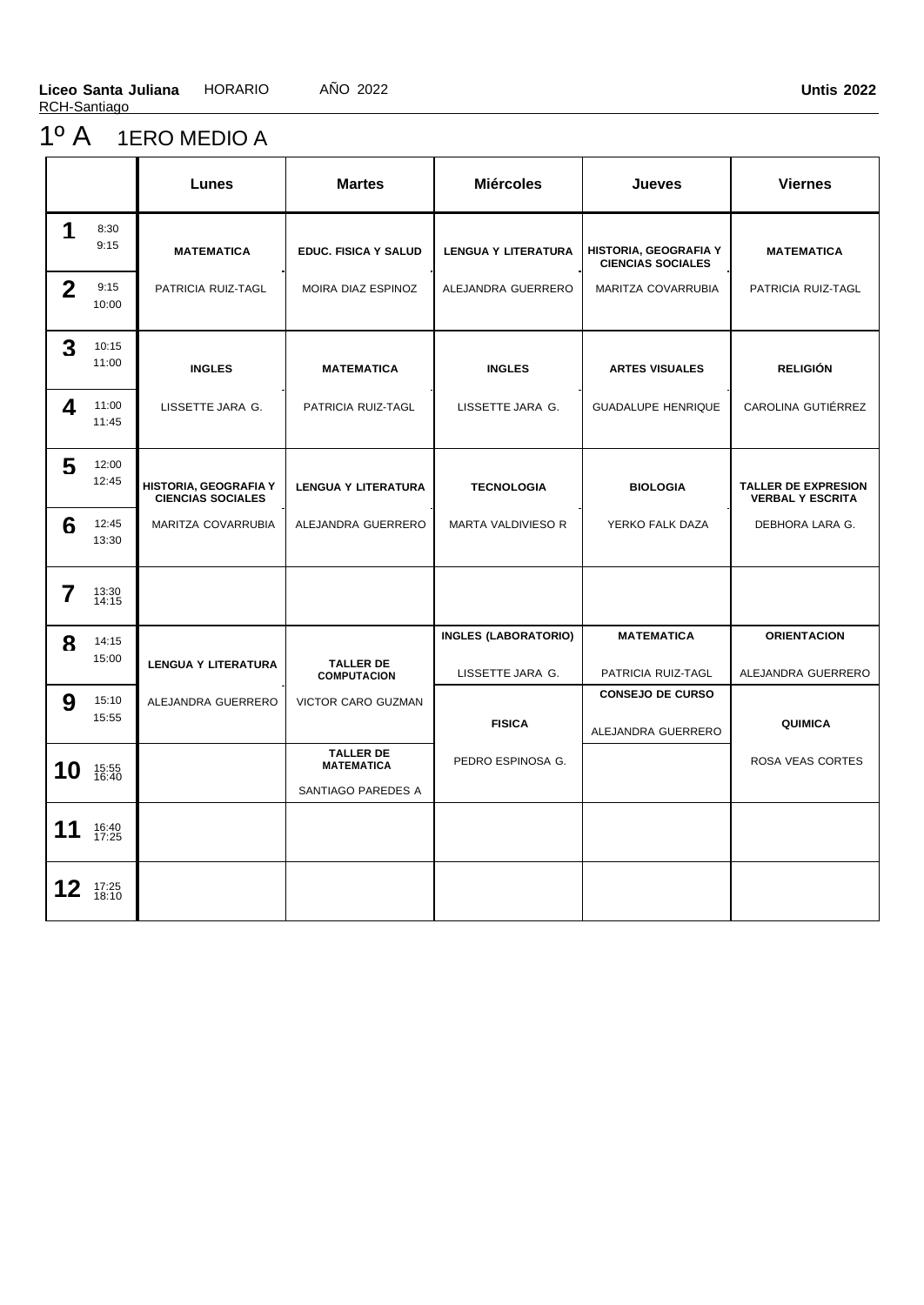### 1º A 1ERO MEDIO A

|                |                | Lunes                                             | <b>Martes</b>                          | <b>Miércoles</b>            | Jueves                                            | <b>Viernes</b>                                        |
|----------------|----------------|---------------------------------------------------|----------------------------------------|-----------------------------|---------------------------------------------------|-------------------------------------------------------|
| 1              | 8:30<br>9:15   | <b>MATEMATICA</b>                                 | <b>EDUC. FISICA Y SALUD</b>            | <b>LENGUA Y LITERATURA</b>  | HISTORIA, GEOGRAFIA Y<br><b>CIENCIAS SOCIALES</b> | <b>MATEMATICA</b>                                     |
| $\overline{2}$ | 9:15<br>10:00  | PATRICIA RUIZ-TAGL                                | MOIRA DIAZ ESPINOZ                     | ALEJANDRA GUERRERO          | MARITZA COVARRUBIA                                | PATRICIA RUIZ-TAGL                                    |
| 3              | 10:15<br>11:00 | <b>INGLES</b>                                     | <b>MATEMATICA</b>                      | <b>INGLES</b>               | <b>ARTES VISUALES</b>                             | <b>RELIGIÓN</b>                                       |
| 4              | 11:00<br>11:45 | LISSETTE JARA G.                                  | PATRICIA RUIZ-TAGL                     | LISSETTE JARA G.            | <b>GUADALUPE HENRIQUE</b>                         | CAROLINA GUTIÉRREZ                                    |
| 5              | 12:00<br>12:45 | HISTORIA, GEOGRAFIA Y<br><b>CIENCIAS SOCIALES</b> | <b>LENGUA Y LITERATURA</b>             | <b>TECNOLOGIA</b>           | <b>BIOLOGIA</b>                                   | <b>TALLER DE EXPRESION</b><br><b>VERBAL Y ESCRITA</b> |
| 6              | 12:45<br>13:30 | MARITZA COVARRUBIA                                | ALEJANDRA GUERRERO                     | MARTA VALDIVIESO R          | YERKO FALK DAZA                                   | DEBHORA LARA G.                                       |
| 7              | 13:30<br>14:15 |                                                   |                                        |                             |                                                   |                                                       |
| 8              | 14:15          |                                                   |                                        | <b>INGLES (LABORATORIO)</b> | <b>MATEMATICA</b>                                 | <b>ORIENTACION</b>                                    |
|                | 15:00          | <b>LENGUA Y LITERATURA</b>                        | <b>TALLER DE</b><br><b>COMPUTACION</b> | LISSETTE JARA G.            | PATRICIA RUIZ-TAGL                                | ALEJANDRA GUERRERO                                    |
| 9              | 15:10          | ALEJANDRA GUERRERO                                | VICTOR CARO GUZMAN                     |                             | <b>CONSEJO DE CURSO</b>                           |                                                       |
|                | 15:55          |                                                   |                                        | <b>FISICA</b>               | ALEJANDRA GUERRERO                                | <b>QUIMICA</b>                                        |
| 10             | 15:55<br>16:40 |                                                   | <b>TALLER DE</b><br><b>MATEMATICA</b>  | PEDRO ESPINOSA G.           |                                                   | ROSA VEAS CORTES                                      |
|                |                |                                                   | SANTIAGO PAREDES A                     |                             |                                                   |                                                       |
| 11             | 16:40<br>17:25 |                                                   |                                        |                             |                                                   |                                                       |
| 12             | 17:25<br>18:10 |                                                   |                                        |                             |                                                   |                                                       |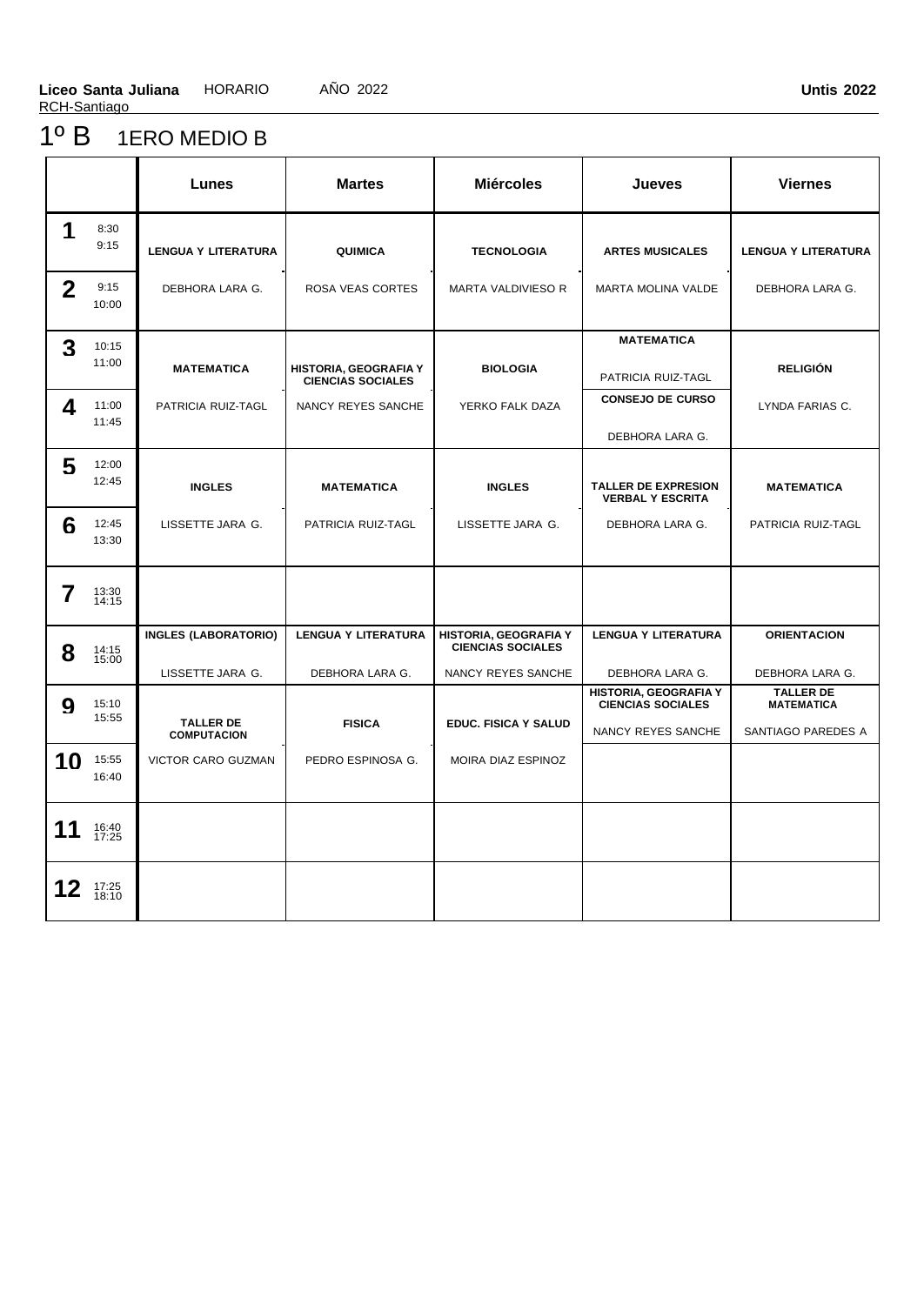### 1º B 1ERO MEDIO B

|              |                | Lunes                                           | <b>Martes</b>                                     | <b>Miércoles</b>                                                        | Jueves                                                                  | <b>Viernes</b>                                              |
|--------------|----------------|-------------------------------------------------|---------------------------------------------------|-------------------------------------------------------------------------|-------------------------------------------------------------------------|-------------------------------------------------------------|
| 1            | 8:30<br>9:15   | <b>LENGUA Y LITERATURA</b>                      | QUIMICA                                           | <b>TECNOLOGIA</b>                                                       | <b>ARTES MUSICALES</b>                                                  | <b>LENGUA Y LITERATURA</b>                                  |
| $\mathbf{2}$ | 9:15<br>10:00  | DEBHORA LARA G.                                 | ROSA VEAS CORTES                                  | MARTA VALDIVIESO R                                                      | MARTA MOLINA VALDE                                                      | DEBHORA LARA G.                                             |
| 3            | 10:15<br>11:00 | <b>MATEMATICA</b>                               | HISTORIA, GEOGRAFIA Y<br><b>CIENCIAS SOCIALES</b> | <b>BIOLOGIA</b>                                                         | MATEMATICA<br>PATRICIA RUIZ-TAGL                                        | <b>RELIGIÓN</b>                                             |
| 4            | 11:00<br>11:45 | PATRICIA RUIZ-TAGL                              | NANCY REYES SANCHE                                | YERKO FALK DAZA                                                         | <b>CONSEJO DE CURSO</b><br>DEBHORA LARA G.                              | LYNDA FARIAS C.                                             |
| 5            | 12:00<br>12:45 | <b>INGLES</b>                                   | <b>MATEMATICA</b>                                 | <b>INGLES</b>                                                           | <b>TALLER DE EXPRESION</b><br><b>VERBAL Y ESCRITA</b>                   | <b>MATEMATICA</b>                                           |
| 6            | 12:45<br>13:30 | LISSETTE JARA G.                                | PATRICIA RUIZ-TAGL                                | LISSETTE JARA G.                                                        | DEBHORA LARA G.                                                         | PATRICIA RUIZ-TAGL                                          |
| 7            | 13:30<br>14:15 |                                                 |                                                   |                                                                         |                                                                         |                                                             |
| 8            | 14:15<br>15:00 | <b>INGLES (LABORATORIO)</b><br>LISSETTE JARA G. | <b>LENGUA Y LITERATURA</b><br>DEBHORA LARA G.     | HISTORIA, GEOGRAFIA Y<br><b>CIENCIAS SOCIALES</b><br>NANCY REYES SANCHE | <b>LENGUA Y LITERATURA</b><br>DEBHORA LARA G.                           | <b>ORIENTACION</b><br>DEBHORA LARA G.                       |
| 9            | 15:10<br>15:55 | <b>TALLER DE</b><br><b>COMPUTACION</b>          | <b>FISICA</b>                                     | <b>EDUC. FISICA Y SALUD</b>                                             | HISTORIA, GEOGRAFIA Y<br><b>CIENCIAS SOCIALES</b><br>NANCY REYES SANCHE | <b>TALLER DE</b><br><b>MATEMATICA</b><br>SANTIAGO PAREDES A |
| 10           | 15:55<br>16:40 | VICTOR CARO GUZMAN                              | PEDRO ESPINOSA G.                                 | MOIRA DIAZ ESPINOZ                                                      |                                                                         |                                                             |
| 11           | 16:40<br>17:25 |                                                 |                                                   |                                                                         |                                                                         |                                                             |
| 12           | 17:25<br>18:10 |                                                 |                                                   |                                                                         |                                                                         |                                                             |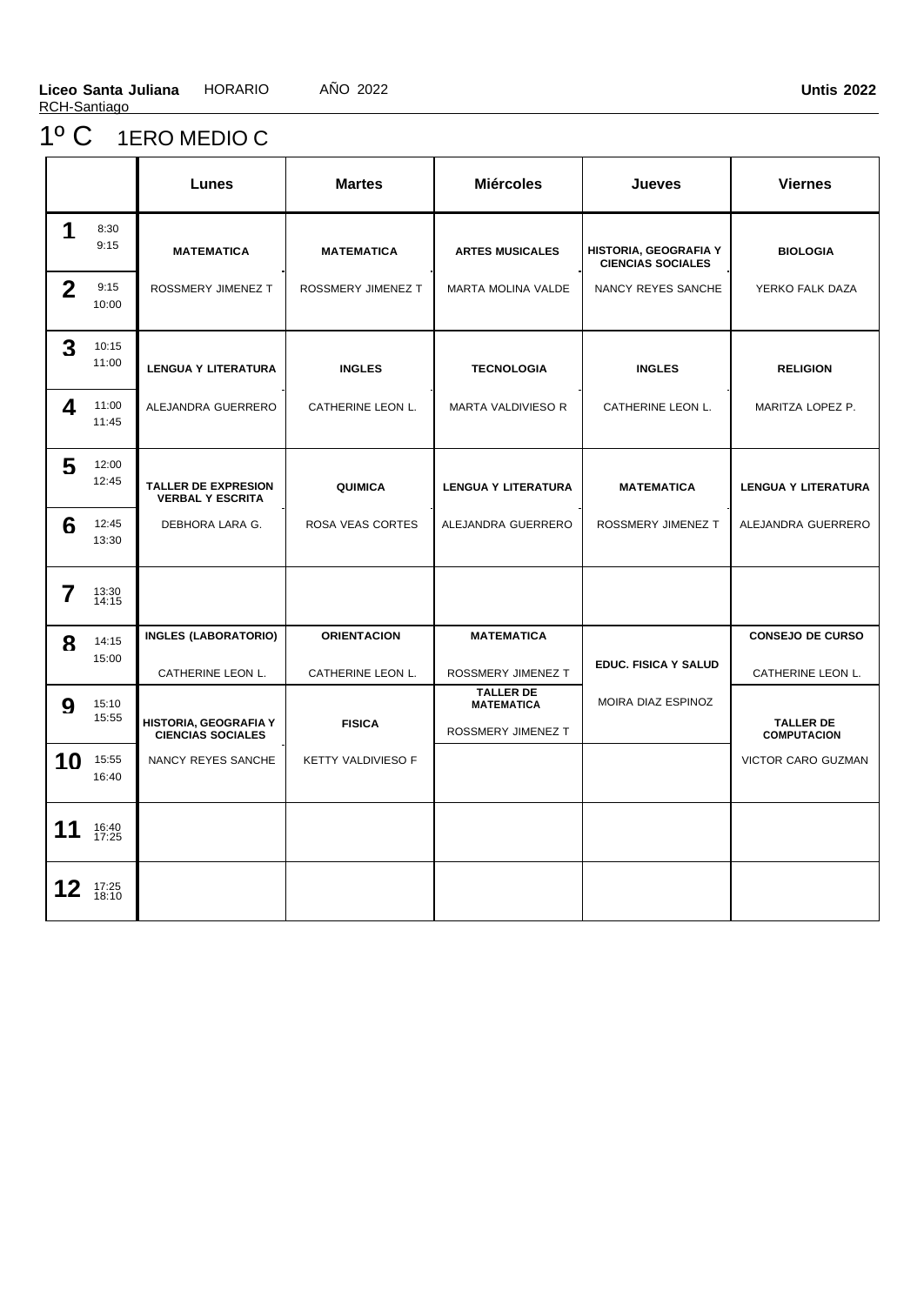### 1º C 1ERO MEDIO C

|              |                | Lunes                                                 | <b>Martes</b>      | <b>Miércoles</b>                                            | <b>Jueves</b>                                     | <b>Viernes</b>                           |
|--------------|----------------|-------------------------------------------------------|--------------------|-------------------------------------------------------------|---------------------------------------------------|------------------------------------------|
| 1            | 8:30<br>9:15   | <b>MATEMATICA</b>                                     | <b>MATEMATICA</b>  | <b>ARTES MUSICALES</b>                                      | HISTORIA, GEOGRAFIA Y<br><b>CIENCIAS SOCIALES</b> | <b>BIOLOGIA</b>                          |
| $\mathbf{2}$ | 9:15<br>10:00  | ROSSMERY JIMENEZ T                                    | ROSSMERY JIMENEZ T | <b>MARTA MOLINA VALDE</b>                                   | NANCY REYES SANCHE                                | YERKO FALK DAZA                          |
| 3            | 10:15<br>11:00 | <b>LENGUA Y LITERATURA</b>                            | <b>INGLES</b>      | <b>TECNOLOGIA</b>                                           | <b>INGLES</b>                                     | <b>RELIGION</b>                          |
| 4            | 11:00<br>11:45 | ALEJANDRA GUERRERO                                    | CATHERINE LEON L.  | <b>MARTA VALDIVIESO R</b>                                   | CATHERINE LEON L.                                 | MARITZA LOPEZ P.                         |
| 5            | 12:00<br>12:45 | <b>TALLER DE EXPRESION</b><br><b>VERBAL Y ESCRITA</b> | QUIMICA            | <b>LENGUA Y LITERATURA</b>                                  | <b>MATEMATICA</b>                                 | <b>LENGUA Y LITERATURA</b>               |
| 6            | 12:45<br>13:30 | DEBHORA LARA G.                                       | ROSA VEAS CORTES   | ALEJANDRA GUERRERO                                          | ROSSMERY JIMENEZ T                                | ALEJANDRA GUERRERO                       |
| 7            | 13:30<br>14:15 |                                                       |                    |                                                             |                                                   |                                          |
| 8            | 14:15          | <b>INGLES (LABORATORIO)</b>                           | <b>ORIENTACION</b> | <b>MATEMATICA</b>                                           |                                                   | <b>CONSEJO DE CURSO</b>                  |
|              | 15:00          | CATHERINE LEON L.                                     | CATHERINE LEON L.  | ROSSMERY JIMENEZ T                                          | <b>EDUC. FISICA Y SALUD</b>                       | CATHERINE LEON L.                        |
| 9            | 15:10<br>15:55 | HISTORIA, GEOGRAFIA Y                                 | <b>FISICA</b>      | <b>TALLER DE</b><br><b>MATEMATICA</b><br>ROSSMERY JIMENEZ T | MOIRA DIAZ ESPINOZ                                | <b>TALLER DE</b>                         |
| 10           | 15:55<br>16:40 | <b>CIENCIAS SOCIALES</b><br>NANCY REYES SANCHE        | KETTY VALDIVIESO F |                                                             |                                                   | <b>COMPUTACION</b><br>VICTOR CARO GUZMAN |
| 11           | 16:40<br>17:25 |                                                       |                    |                                                             |                                                   |                                          |
| 12           | 17:25<br>18:10 |                                                       |                    |                                                             |                                                   |                                          |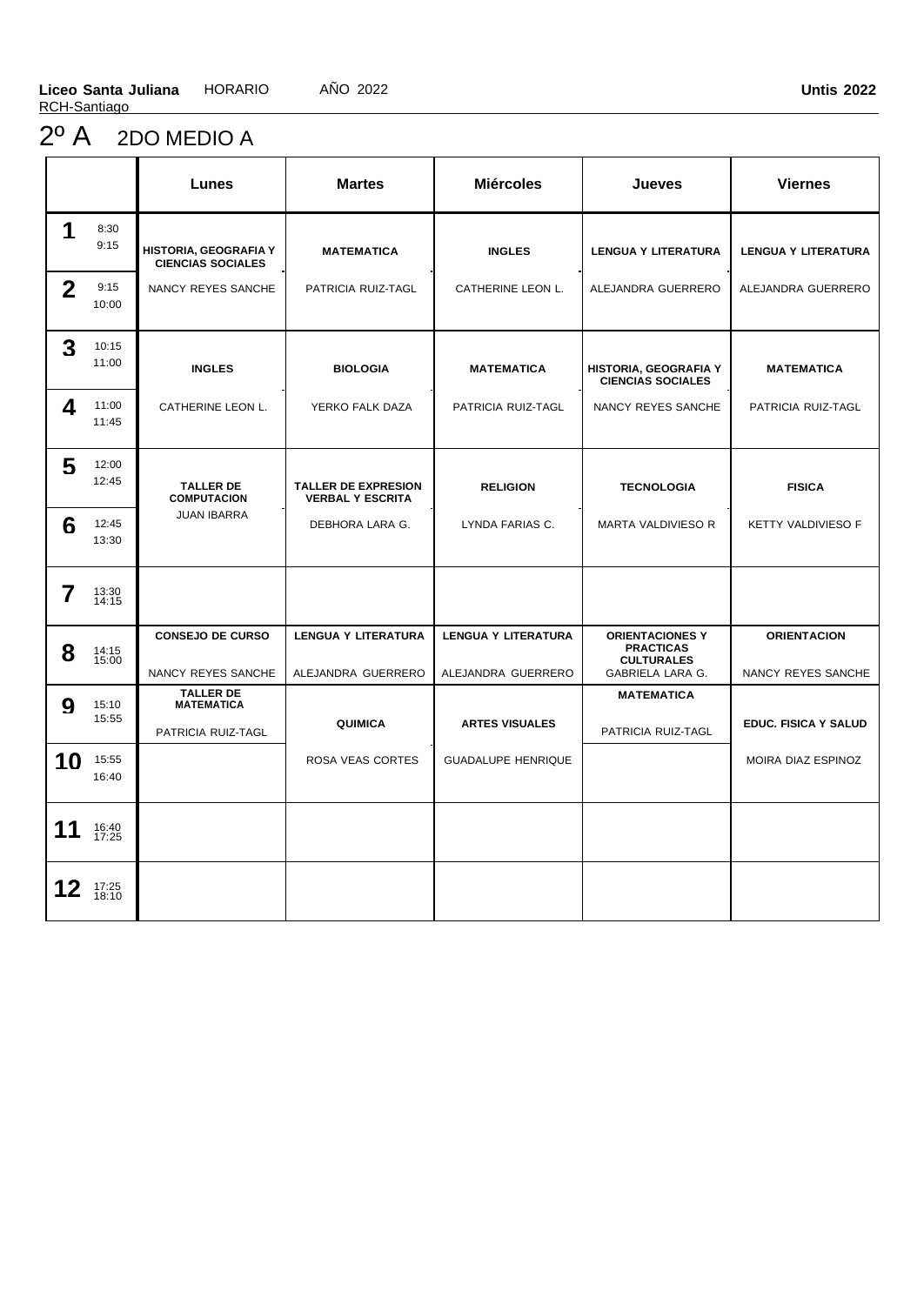# 2º A 2DO MEDIO A

|              |                | Lunes                                                       | <b>Martes</b>                                         | <b>Miércoles</b>                                 | Jueves                                                                                     | <b>Viernes</b>                           |
|--------------|----------------|-------------------------------------------------------------|-------------------------------------------------------|--------------------------------------------------|--------------------------------------------------------------------------------------------|------------------------------------------|
| 1            | 8:30<br>9:15   | <b>HISTORIA, GEOGRAFIA Y</b><br><b>CIENCIAS SOCIALES</b>    | <b>MATEMATICA</b>                                     | <b>INGLES</b>                                    | <b>LENGUA Y LITERATURA</b>                                                                 | <b>LENGUA Y LITERATURA</b>               |
| $\mathbf{2}$ | 9:15<br>10:00  | NANCY REYES SANCHE                                          | PATRICIA RUIZ-TAGL                                    | CATHERINE LEON L.                                | ALEJANDRA GUERRERO                                                                         | ALEJANDRA GUERRERO                       |
| 3            | 10:15<br>11:00 | <b>INGLES</b>                                               | <b>BIOLOGIA</b>                                       | <b>MATEMATICA</b>                                | HISTORIA, GEOGRAFIA Y<br><b>CIENCIAS SOCIALES</b>                                          | <b>MATEMATICA</b>                        |
| 4            | 11:00<br>11:45 | CATHERINE LEON L.                                           | YERKO FALK DAZA                                       | PATRICIA RUIZ-TAGL                               | NANCY REYES SANCHE                                                                         | PATRICIA RUIZ-TAGL                       |
| 5            | 12:00<br>12:45 | <b>TALLER DE</b><br><b>COMPUTACION</b>                      | <b>TALLER DE EXPRESION</b><br><b>VERBAL Y ESCRITA</b> | <b>RELIGION</b>                                  | <b>TECNOLOGIA</b>                                                                          | <b>FISICA</b>                            |
| 6            | 12:45<br>13:30 | <b>JUAN IBARRA</b>                                          | DEBHORA LARA G.                                       | LYNDA FARIAS C.                                  | MARTA VALDIVIESO R                                                                         | KETTY VALDIVIESO F                       |
| 7            | 13:30<br>14:15 |                                                             |                                                       |                                                  |                                                                                            |                                          |
| 8            | 14:15<br>15:00 | <b>CONSEJO DE CURSO</b><br>NANCY REYES SANCHE               | <b>LENGUA Y LITERATURA</b><br>ALEJANDRA GUERRERO      | <b>LENGUA Y LITERATURA</b><br>ALEJANDRA GUERRERO | <b>ORIENTACIONES Y</b><br><b>PRACTICAS</b><br><b>CULTURALES</b><br><b>GABRIELA LARA G.</b> | <b>ORIENTACION</b><br>NANCY REYES SANCHE |
| 9            | 15:10<br>15:55 | <b>TALLER DE</b><br><b>MATEMATICA</b><br>PATRICIA RUIZ-TAGL | QUIMICA                                               | <b>ARTES VISUALES</b>                            | <b>MATEMATICA</b><br>PATRICIA RUIZ-TAGL                                                    | <b>EDUC. FISICA Y SALUD</b>              |
| 10           | 15:55<br>16:40 |                                                             | ROSA VEAS CORTES                                      | <b>GUADALUPE HENRIQUE</b>                        |                                                                                            | MOIRA DIAZ ESPINOZ                       |
| 11           | 16:40<br>17:25 |                                                             |                                                       |                                                  |                                                                                            |                                          |
|              | 17:25<br>18:10 |                                                             |                                                       |                                                  |                                                                                            |                                          |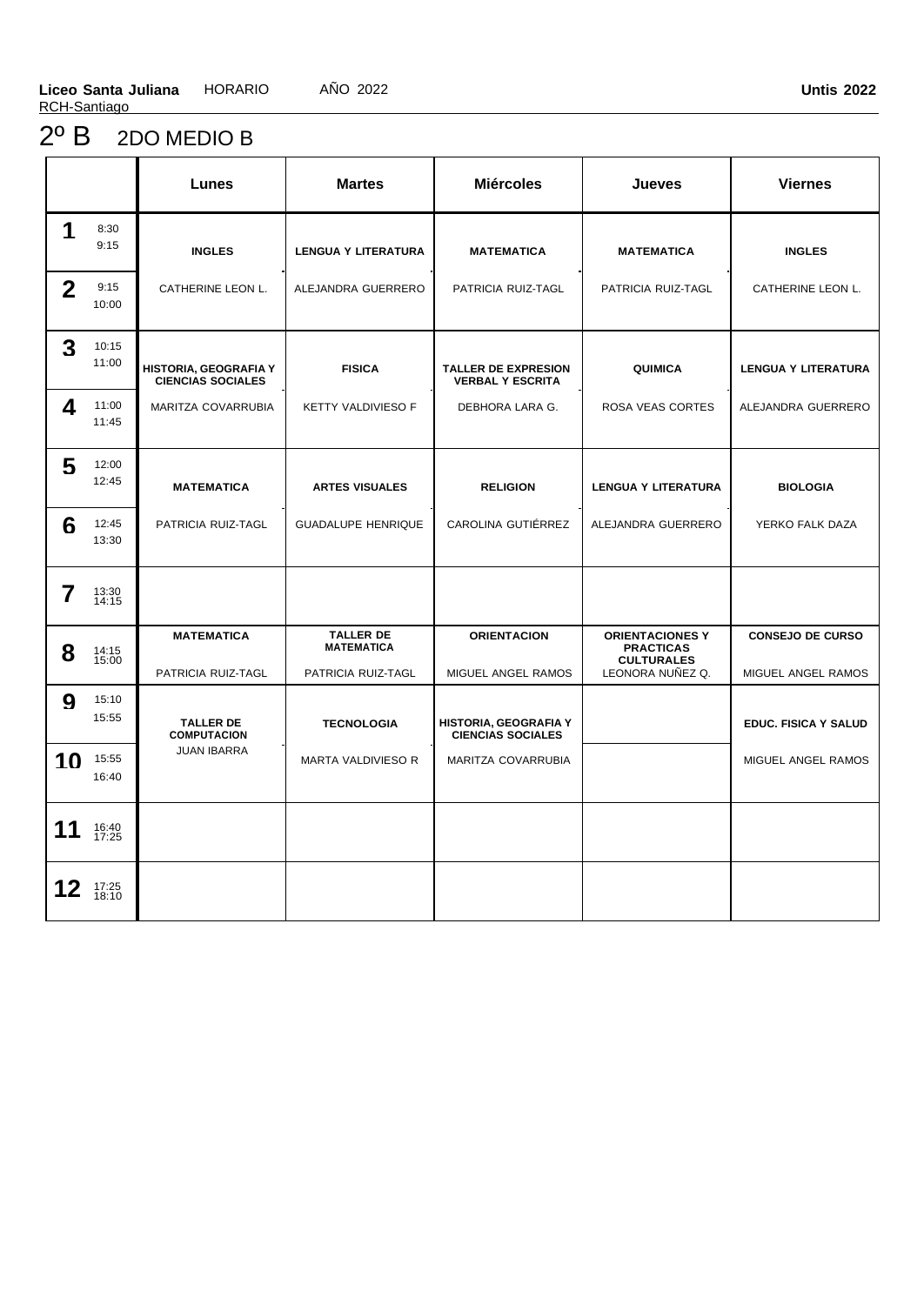### 2º B 2DO MEDIO B

|              |                | Lunes                                             | <b>Martes</b>                                               | <b>Miércoles</b>                                         | <b>Jueves</b>                                                                       | <b>Viernes</b>                                |
|--------------|----------------|---------------------------------------------------|-------------------------------------------------------------|----------------------------------------------------------|-------------------------------------------------------------------------------------|-----------------------------------------------|
| 1            | 8:30<br>9:15   | <b>INGLES</b>                                     | <b>LENGUA Y LITERATURA</b>                                  | <b>MATEMATICA</b>                                        | <b>MATEMATICA</b>                                                                   | <b>INGLES</b>                                 |
| $\mathbf{2}$ | 9:15<br>10:00  | CATHERINE LEON L.                                 | ALEJANDRA GUERRERO                                          | PATRICIA RUIZ-TAGL                                       | PATRICIA RUIZ-TAGL                                                                  | CATHERINE LEON L.                             |
| 3            | 10:15<br>11:00 | HISTORIA, GEOGRAFIA Y<br><b>CIENCIAS SOCIALES</b> | <b>FISICA</b>                                               | <b>TALLER DE EXPRESION</b><br><b>VERBAL Y ESCRITA</b>    | QUIMICA                                                                             | <b>LENGUA Y LITERATURA</b>                    |
| 4            | 11:00<br>11:45 | MARITZA COVARRUBIA                                | <b>KETTY VALDIVIESO F</b>                                   | DEBHORA LARA G.                                          | <b>ROSA VEAS CORTES</b>                                                             | ALEJANDRA GUERRERO                            |
| 5            | 12:00<br>12:45 | <b>MATEMATICA</b>                                 | <b>ARTES VISUALES</b>                                       | <b>RELIGION</b>                                          | <b>LENGUA Y LITERATURA</b>                                                          | <b>BIOLOGIA</b>                               |
| 6            | 12:45<br>13:30 | PATRICIA RUIZ-TAGL                                | <b>GUADALUPE HENRIQUE</b>                                   | CAROLINA GUTIÉRREZ                                       | ALEJANDRA GUERRERO                                                                  | YERKO FALK DAZA                               |
| 7            | 13:30<br>14:15 |                                                   |                                                             |                                                          |                                                                                     |                                               |
| 8            | 14:15<br>15:00 | <b>MATEMATICA</b><br>PATRICIA RUIZ-TAGL           | <b>TALLER DE</b><br><b>MATEMATICA</b><br>PATRICIA RUIZ-TAGL | <b>ORIENTACION</b><br>MIGUEL ANGEL RAMOS                 | <b>ORIENTACIONES Y</b><br><b>PRACTICAS</b><br><b>CULTURALES</b><br>LEONORA NUÑEZ Q. | <b>CONSEJO DE CURSO</b><br>MIGUEL ANGEL RAMOS |
| 9            | 15:10<br>15:55 | <b>TALLER DE</b><br><b>COMPUTACION</b>            | <b>TECNOLOGIA</b>                                           | <b>HISTORIA, GEOGRAFIA Y</b><br><b>CIENCIAS SOCIALES</b> |                                                                                     | EDUC. FISICA Y SALUD                          |
| 10           | 15:55<br>16:40 | <b>JUAN IBARRA</b>                                | MARTA VALDIVIESO R                                          | MARITZA COVARRUBIA                                       |                                                                                     | MIGUEL ANGEL RAMOS                            |
| 11           | 16:40<br>17:25 |                                                   |                                                             |                                                          |                                                                                     |                                               |
| 12           | 17:25<br>18:10 |                                                   |                                                             |                                                          |                                                                                     |                                               |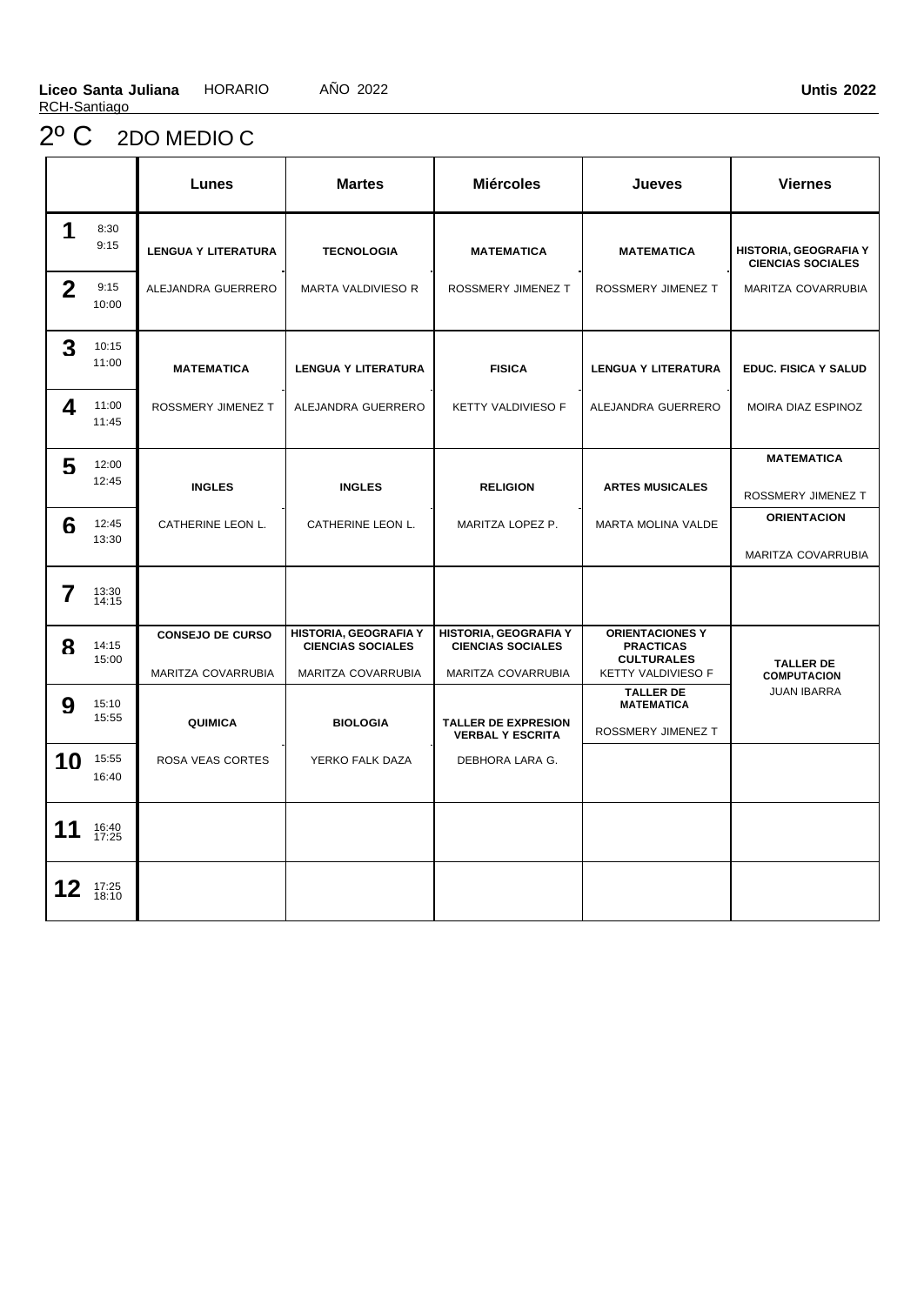# 2º C 2DO MEDIO C

|              |                | Lunes                                         | <b>Martes</b>                                                           | <b>Miércoles</b>                                                        | Jueves                                                                                | <b>Viernes</b>                                           |
|--------------|----------------|-----------------------------------------------|-------------------------------------------------------------------------|-------------------------------------------------------------------------|---------------------------------------------------------------------------------------|----------------------------------------------------------|
| 1            | 8:30<br>9:15   | <b>LENGUA Y LITERATURA</b>                    | <b>TECNOLOGIA</b>                                                       | <b>MATEMATICA</b>                                                       | <b>MATEMATICA</b>                                                                     | <b>HISTORIA, GEOGRAFIA Y</b><br><b>CIENCIAS SOCIALES</b> |
| $\mathbf{2}$ | 9:15<br>10:00  | ALEJANDRA GUERRERO                            | MARTA VALDIVIESO R                                                      | ROSSMERY JIMENEZ T                                                      | ROSSMERY JIMENEZ T                                                                    | MARITZA COVARRUBIA                                       |
| 3            | 10:15<br>11:00 | <b>MATEMATICA</b>                             | <b>LENGUA Y LITERATURA</b>                                              | <b>FISICA</b>                                                           | <b>LENGUA Y LITERATURA</b>                                                            | <b>EDUC. FISICA Y SALUD</b>                              |
| 4            | 11:00<br>11:45 | ROSSMERY JIMENEZ T                            | ALEJANDRA GUERRERO                                                      | <b>KETTY VALDIVIESO F</b>                                               | ALEJANDRA GUERRERO                                                                    | MOIRA DIAZ ESPINOZ                                       |
| 5            | 12:00<br>12:45 | <b>INGLES</b>                                 | <b>INGLES</b>                                                           | <b>RELIGION</b>                                                         | <b>ARTES MUSICALES</b>                                                                | <b>MATEMATICA</b><br>ROSSMERY JIMENEZ T                  |
| 6            | 12:45<br>13:30 | CATHERINE LEON L.                             | CATHERINE LEON L.                                                       | MARITZA LOPEZ P.                                                        | MARTA MOLINA VALDE                                                                    | <b>ORIENTACION</b><br>MARITZA COVARRUBIA                 |
| 7            | 13:30<br>14:15 |                                               |                                                                         |                                                                         |                                                                                       |                                                          |
| 8            | 14:15<br>15:00 | <b>CONSEJO DE CURSO</b><br>MARITZA COVARRUBIA | HISTORIA, GEOGRAFIA Y<br><b>CIENCIAS SOCIALES</b><br>MARITZA COVARRUBIA | HISTORIA, GEOGRAFIA Y<br><b>CIENCIAS SOCIALES</b><br>MARITZA COVARRUBIA | <b>ORIENTACIONES Y</b><br><b>PRACTICAS</b><br><b>CULTURALES</b><br>KETTY VALDIVIESO F | <b>TALLER DE</b><br><b>COMPUTACION</b>                   |
| 9            | 15:10<br>15:55 | <b>QUIMICA</b>                                | <b>BIOLOGIA</b>                                                         | <b>TALLER DE EXPRESION</b><br><b>VERBAL Y ESCRITA</b>                   | <b>TALLER DE</b><br><b>MATEMATICA</b><br>ROSSMERY JIMENEZ T                           | <b>JUAN IBARRA</b>                                       |
| 10           | 15:55<br>16:40 | ROSA VEAS CORTES                              | YERKO FALK DAZA                                                         | DEBHORA LARA G.                                                         |                                                                                       |                                                          |
| 11           | 16:40<br>17:25 |                                               |                                                                         |                                                                         |                                                                                       |                                                          |
| 12           | 17:25<br>18:10 |                                               |                                                                         |                                                                         |                                                                                       |                                                          |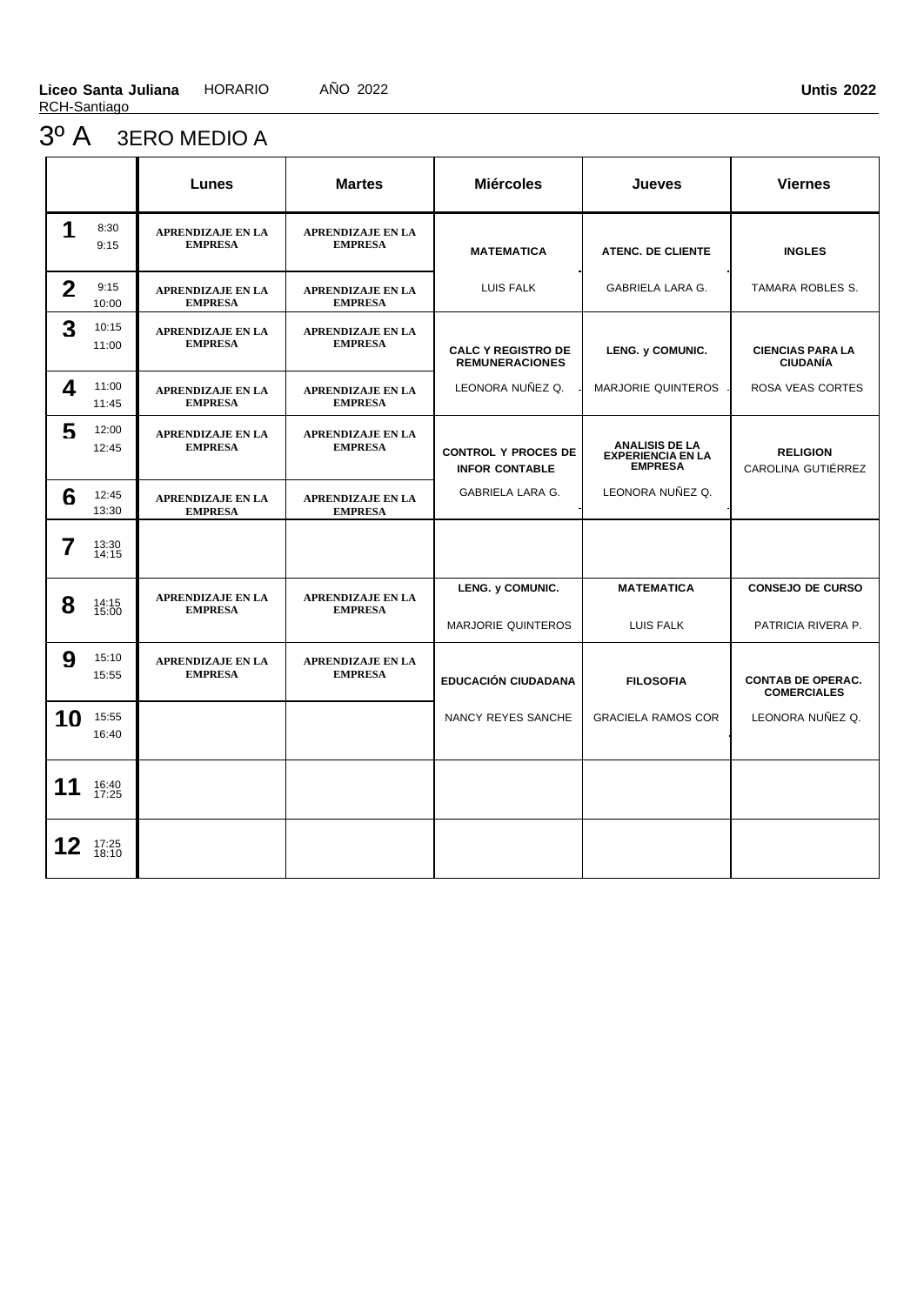### 3º A 3ERO MEDIO A

|              |                | Lunes                                      | <b>Martes</b>                              | <b>Miércoles</b>                                    | <b>Jueves</b>                                                       | <b>Viernes</b>                                 |
|--------------|----------------|--------------------------------------------|--------------------------------------------|-----------------------------------------------------|---------------------------------------------------------------------|------------------------------------------------|
| 1            | 8:30<br>9:15   | <b>APRENDIZAJE EN LA</b><br><b>EMPRESA</b> | <b>APRENDIZAJE EN LA</b><br><b>EMPRESA</b> | <b>MATEMATICA</b>                                   | <b>ATENC. DE CLIENTE</b>                                            | <b>INGLES</b>                                  |
| $\mathbf{2}$ | 9:15<br>10:00  | <b>APRENDIZAJE EN LA</b><br><b>EMPRESA</b> | <b>APRENDIZAJE EN LA</b><br><b>EMPRESA</b> | LUIS FALK                                           | <b>GABRIELA LARA G.</b>                                             | <b>TAMARA ROBLES S.</b>                        |
| 3            | 10:15<br>11:00 | <b>APRENDIZAJE EN LA</b><br><b>EMPRESA</b> | <b>APRENDIZAJE EN LA</b><br><b>EMPRESA</b> | <b>CALC Y REGISTRO DE</b><br><b>REMUNERACIONES</b>  | LENG. y COMUNIC.                                                    | <b>CIENCIAS PARA LA</b><br><b>CIUDANÍA</b>     |
| 4            | 11:00<br>11:45 | <b>APRENDIZAJE EN LA</b><br><b>EMPRESA</b> | <b>APRENDIZAJE EN LA</b><br><b>EMPRESA</b> | LEONORA NUÑEZ Q.                                    | MARJORIE QUINTEROS                                                  | ROSA VEAS CORTES                               |
| 5            | 12:00<br>12:45 | <b>APRENDIZAJE EN LA</b><br><b>EMPRESA</b> | <b>APRENDIZAJE EN LA</b><br><b>EMPRESA</b> | <b>CONTROL Y PROCES DE</b><br><b>INFOR CONTABLE</b> | <b>ANALISIS DE LA</b><br><b>EXPERIENCIA EN LA</b><br><b>EMPRESA</b> | <b>RELIGION</b><br>CAROLINA GUTIÉRREZ          |
| 6            | 12:45<br>13:30 | <b>APRENDIZAJE EN LA</b><br><b>EMPRESA</b> | <b>APRENDIZAJE EN LA</b><br><b>EMPRESA</b> | <b>GABRIELA LARA G.</b>                             | LEONORA NUÑEZ Q.                                                    |                                                |
| 7            | 13:30<br>14:15 |                                            |                                            |                                                     |                                                                     |                                                |
| 8            | 14:15<br>15:00 | <b>APRENDIZAJE EN LA</b><br><b>EMPRESA</b> | <b>APRENDIZAJE EN LA</b><br><b>EMPRESA</b> | LENG. y COMUNIC.<br><b>MARJORIE QUINTEROS</b>       | <b>MATEMATICA</b><br>LUIS FALK                                      | <b>CONSEJO DE CURSO</b><br>PATRICIA RIVERA P.  |
| 9            | 15:10<br>15:55 | <b>APRENDIZAJE EN LA</b><br><b>EMPRESA</b> | <b>APRENDIZAJE EN LA</b><br><b>EMPRESA</b> | <b>EDUCACIÓN CIUDADANA</b>                          | <b>FILOSOFIA</b>                                                    | <b>CONTAB DE OPERAC.</b><br><b>COMERCIALES</b> |
| 10           | 15:55<br>16:40 |                                            |                                            | NANCY REYES SANCHE                                  | <b>GRACIELA RAMOS COR</b>                                           | LEONORA NUÑEZ Q.                               |
| 11           | 16:40<br>17:25 |                                            |                                            |                                                     |                                                                     |                                                |
| 12           | 17:25<br>18:10 |                                            |                                            |                                                     |                                                                     |                                                |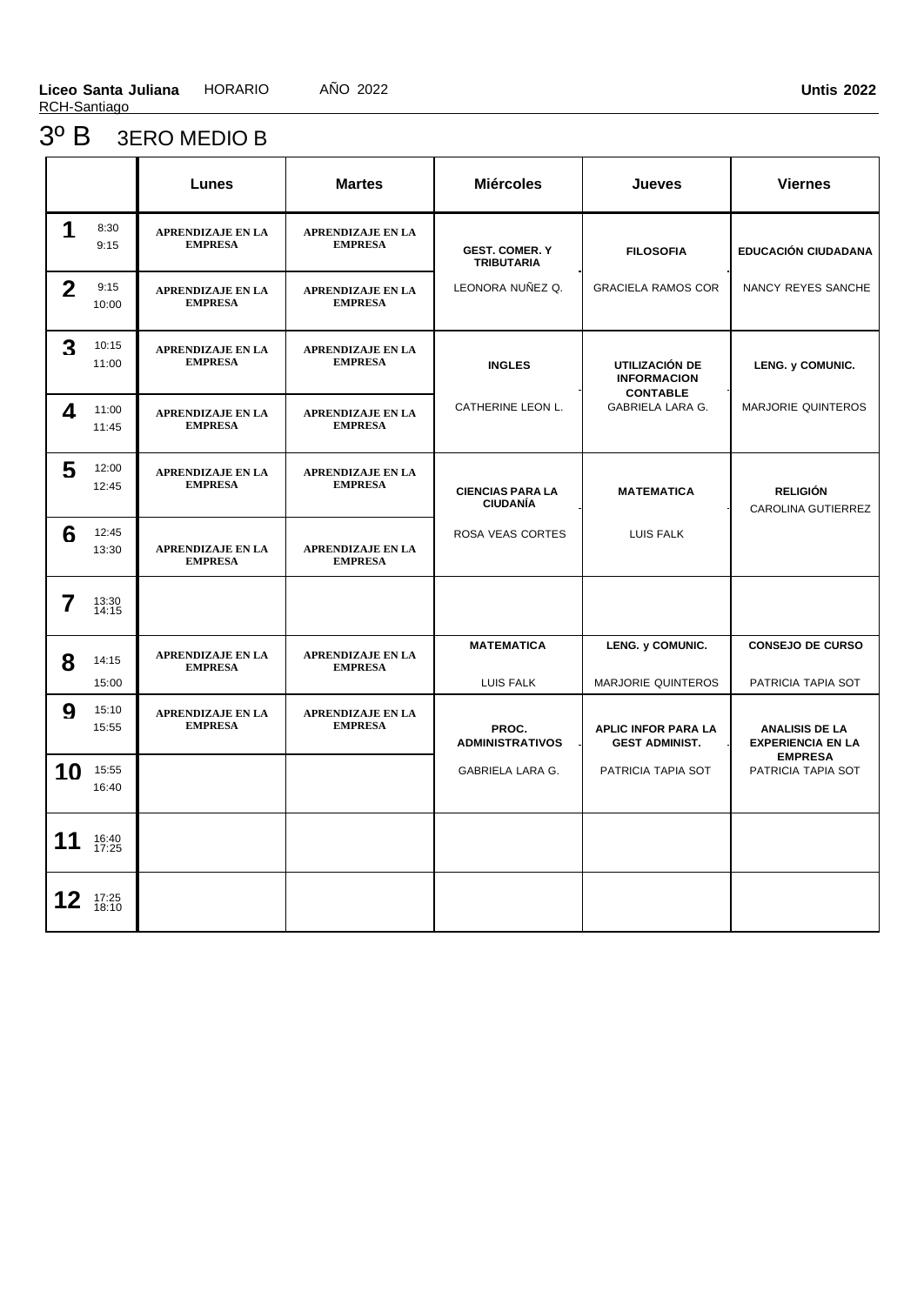### 3º B 3ERO MEDIO B

|                  |                | Lunes                                      | <b>Martes</b>                              | <b>Miércoles</b>                           | Jueves                                              | <b>Viernes</b>                                    |
|------------------|----------------|--------------------------------------------|--------------------------------------------|--------------------------------------------|-----------------------------------------------------|---------------------------------------------------|
| 1                | 8:30<br>9:15   | <b>APRENDIZAJE EN LA</b><br><b>EMPRESA</b> | <b>APRENDIZAJE EN LA</b><br><b>EMPRESA</b> | <b>GEST. COMER. Y</b><br><b>TRIBUTARIA</b> | <b>FILOSOFIA</b>                                    | <b>EDUCACIÓN CIUDADANA</b>                        |
| $\mathbf{2}$     | 9:15<br>10:00  | <b>APRENDIZAJE EN LA</b><br><b>EMPRESA</b> | <b>APRENDIZAJE EN LA</b><br><b>EMPRESA</b> | LEONORA NUÑEZ Q.                           | <b>GRACIELA RAMOS COR</b>                           | NANCY REYES SANCHE                                |
| 3                | 10:15<br>11:00 | <b>APRENDIZAJE EN LA</b><br><b>EMPRESA</b> | <b>APRENDIZAJE EN LA</b><br><b>EMPRESA</b> | <b>INGLES</b>                              | UTILIZACIÓN DE<br><b>INFORMACION</b>                | LENG. y COMUNIC.                                  |
| 4                | 11:00<br>11:45 | <b>APRENDIZAJE EN LA</b><br><b>EMPRESA</b> | <b>APRENDIZAJE EN LA</b><br><b>EMPRESA</b> | CATHERINE LEON L.                          | <b>CONTABLE</b><br><b>GABRIELA LARA G.</b>          | <b>MARJORIE QUINTEROS</b>                         |
| 5                | 12:00<br>12:45 | <b>APRENDIZAJE EN LA</b><br><b>EMPRESA</b> | <b>APRENDIZAJE EN LA</b><br><b>EMPRESA</b> | <b>CIENCIAS PARA LA</b><br><b>CIUDANÍA</b> | <b>MATEMATICA</b>                                   | <b>RELIGIÓN</b><br>CAROLINA GUTIERREZ             |
| 6                | 12:45<br>13:30 | <b>APRENDIZAJE EN LA</b><br><b>EMPRESA</b> | <b>APRENDIZAJE EN LA</b><br><b>EMPRESA</b> | ROSA VEAS CORTES                           | LUIS FALK                                           |                                                   |
| 7                | 13:30<br>14:15 |                                            |                                            |                                            |                                                     |                                                   |
| 8                | 14:15<br>15:00 | <b>APRENDIZAJE EN LA</b><br><b>EMPRESA</b> | <b>APRENDIZAJE EN LA</b><br><b>EMPRESA</b> | <b>MATEMATICA</b><br>LUIS FALK             | LENG. y COMUNIC.<br><b>MARJORIE QUINTEROS</b>       | <b>CONSEJO DE CURSO</b><br>PATRICIA TAPIA SOT     |
| $\boldsymbol{Q}$ | 15:10<br>15:55 | <b>APRENDIZAJE EN LA</b><br><b>EMPRESA</b> | <b>APRENDIZAJE EN LA</b><br><b>EMPRESA</b> | PROC.<br><b>ADMINISTRATIVOS</b>            | <b>APLIC INFOR PARA LA</b><br><b>GEST ADMINIST.</b> | <b>ANALISIS DE LA</b><br><b>EXPERIENCIA EN LA</b> |
| 10               | 15:55<br>16:40 |                                            |                                            | GABRIELA LARA G.                           | PATRICIA TAPIA SOT                                  | <b>EMPRESA</b><br>PATRICIA TAPIA SOT              |
| 11               | 16:40<br>17:25 |                                            |                                            |                                            |                                                     |                                                   |
| 12               | 17:25<br>18:10 |                                            |                                            |                                            |                                                     |                                                   |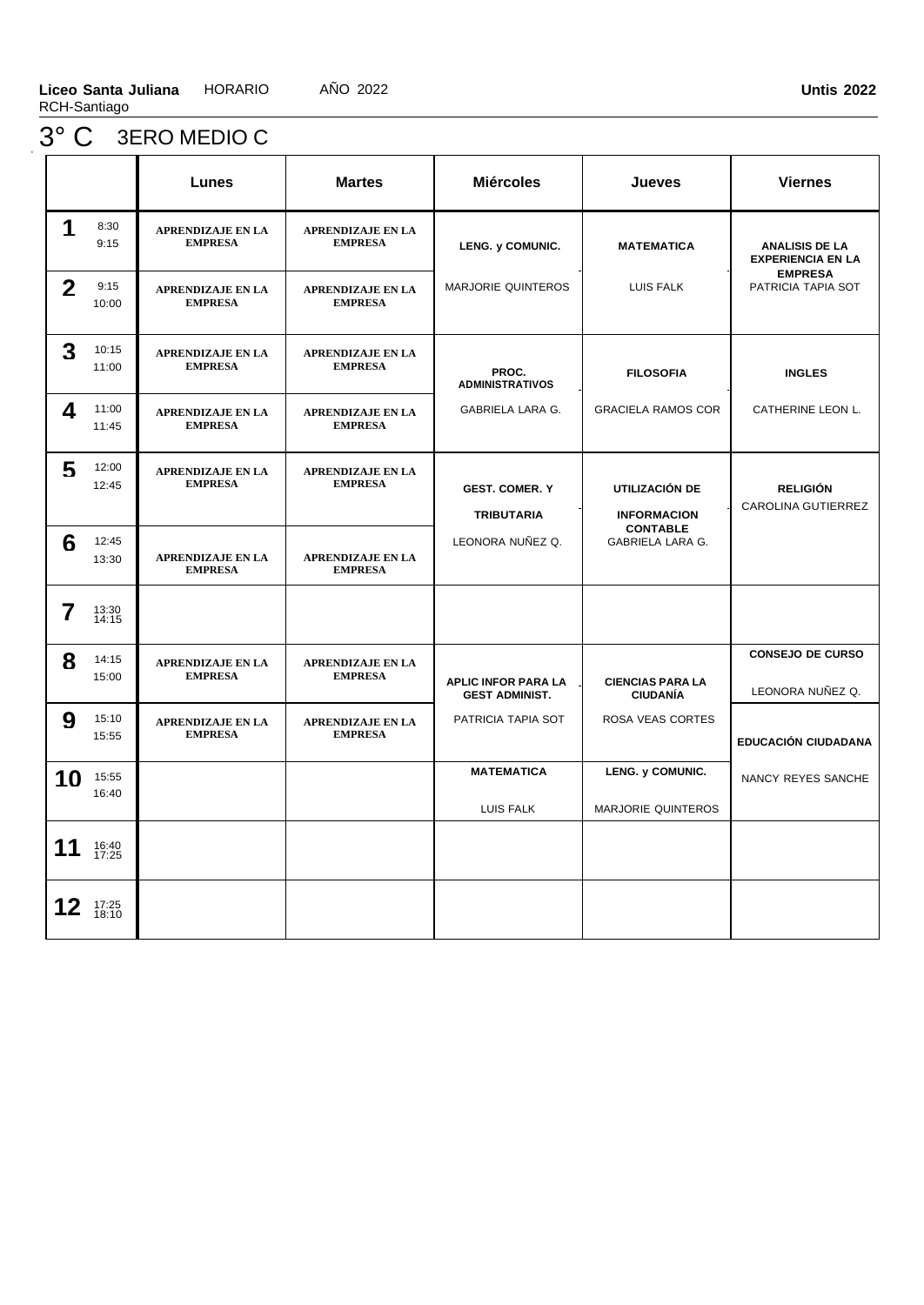# 3° C 3ERO MEDIO C

|              |                | <b>Lunes</b>                               | <b>Martes</b>                              | <b>Miércoles</b>                                    | Jueves                                        | <b>Viernes</b>                                    |
|--------------|----------------|--------------------------------------------|--------------------------------------------|-----------------------------------------------------|-----------------------------------------------|---------------------------------------------------|
| 1            | 8:30<br>9:15   | <b>APRENDIZAJE EN LA</b><br><b>EMPRESA</b> | <b>APRENDIZAJE EN LA</b><br><b>EMPRESA</b> | LENG. y COMUNIC.                                    | <b>MATEMATICA</b>                             | <b>ANALISIS DE LA</b><br><b>EXPERIENCIA EN LA</b> |
| $\mathbf{2}$ | 9:15<br>10:00  | <b>APRENDIZAJE EN LA</b><br><b>EMPRESA</b> | <b>APRENDIZAJE EN LA</b><br><b>EMPRESA</b> | MARJORIE QUINTEROS                                  | LUIS FALK                                     | <b>EMPRESA</b><br>PATRICIA TAPIA SOT              |
| 3            | 10:15<br>11:00 | <b>APRENDIZAJE EN LA</b><br><b>EMPRESA</b> | <b>APRENDIZAJE EN LA</b><br><b>EMPRESA</b> | PROC.<br><b>ADMINISTRATIVOS</b>                     | <b>FILOSOFIA</b>                              | <b>INGLES</b>                                     |
| 4            | 11:00<br>11:45 | <b>APRENDIZAJE EN LA</b><br><b>EMPRESA</b> | <b>APRENDIZAJE EN LA</b><br><b>EMPRESA</b> | GABRIELA LARA G.                                    | <b>GRACIELA RAMOS COR</b>                     | CATHERINE LEON L.                                 |
| 5            | 12:00<br>12:45 | APRENDIZAJE EN LA<br><b>EMPRESA</b>        | <b>APRENDIZAJE EN LA</b><br><b>EMPRESA</b> | <b>GEST. COMER. Y</b><br><b>TRIBUTARIA</b>          | UTILIZACIÓN DE<br><b>INFORMACION</b>          | <b>RELIGIÓN</b><br>CAROLINA GUTIERREZ             |
| 6            | 12:45<br>13:30 | <b>APRENDIZAJE EN LA</b><br><b>EMPRESA</b> | <b>APRENDIZAJE EN LA</b><br><b>EMPRESA</b> | LEONORA NUÑEZ Q.                                    | <b>CONTABLE</b><br>GABRIELA LARA G.           |                                                   |
| 7            | 13:30<br>14:15 |                                            |                                            |                                                     |                                               |                                                   |
| 8            | 14:15<br>15:00 | <b>APRENDIZAJE EN LA</b><br><b>EMPRESA</b> | <b>APRENDIZAJE EN LA</b><br><b>EMPRESA</b> | <b>APLIC INFOR PARA LA</b><br><b>GEST ADMINIST.</b> | <b>CIENCIAS PARA LA</b><br><b>CIUDANÍA</b>    | <b>CONSEJO DE CURSO</b><br>LEONORA NUÑEZ Q.       |
| 9            | 15:10<br>15:55 | <b>APRENDIZAJE EN LA</b><br><b>EMPRESA</b> | <b>APRENDIZAJE EN LA</b><br><b>EMPRESA</b> | PATRICIA TAPIA SOT                                  | ROSA VEAS CORTES                              | <b>EDUCACIÓN CIUDADANA</b>                        |
| 10           | 15:55<br>16:40 |                                            |                                            | <b>MATEMATICA</b><br>LUIS FALK                      | LENG. y COMUNIC.<br><b>MARJORIE QUINTEROS</b> | NANCY REYES SANCHE                                |
| 11           | 16:40<br>17:25 |                                            |                                            |                                                     |                                               |                                                   |
| 12           | 17:25<br>18:10 |                                            |                                            |                                                     |                                               |                                                   |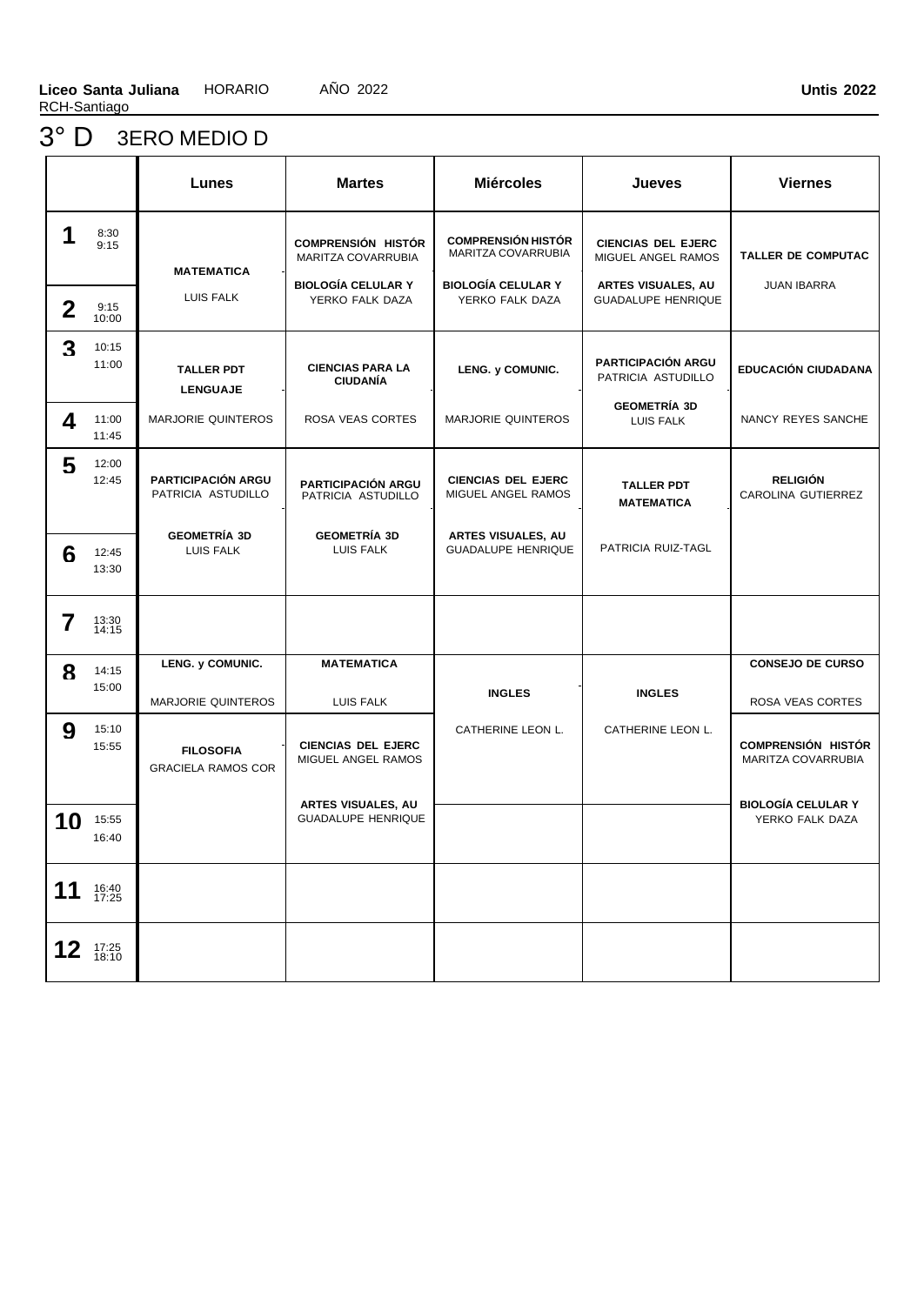# 3° D 3ERO MEDIO D

|                 |                | Lunes                                           | <b>Martes</b>                                                                                          | <b>Miércoles</b>                                                                                       | Jueves                                                                                             | <b>Viernes</b>                                  |
|-----------------|----------------|-------------------------------------------------|--------------------------------------------------------------------------------------------------------|--------------------------------------------------------------------------------------------------------|----------------------------------------------------------------------------------------------------|-------------------------------------------------|
| 1               | 8:30<br>9:15   | <b>MATEMATICA</b><br>LUIS FALK                  | <b>COMPRENSIÓN HISTÓR</b><br><b>MARITZA COVARRUBIA</b><br><b>BIOLOGÍA CELULAR Y</b><br>YERKO FALK DAZA | <b>COMPRENSIÓN HISTÓR</b><br><b>MARITZA COVARRUBIA</b><br><b>BIOLOGÍA CELULAR Y</b><br>YERKO FALK DAZA | <b>CIENCIAS DEL EJERC</b><br>MIGUEL ANGEL RAMOS<br>ARTES VISUALES, AU<br><b>GUADALUPE HENRIQUE</b> | <b>TALLER DE COMPUTAC</b><br><b>JUAN IBARRA</b> |
| $\mathbf 2$     | 9:15<br>10:00  |                                                 |                                                                                                        |                                                                                                        |                                                                                                    |                                                 |
| 3               | 10:15<br>11:00 | <b>TALLER PDT</b><br><b>LENGUAJE</b>            | <b>CIENCIAS PARA LA</b><br><b>CIUDANÍA</b>                                                             | LENG. y COMUNIC.                                                                                       | <b>PARTICIPACIÓN ARGU</b><br>PATRICIA ASTUDILLO                                                    | <b>EDUCACIÓN CIUDADANA</b>                      |
| 4               | 11:00<br>11:45 | <b>MARJORIE QUINTEROS</b>                       | ROSA VEAS CORTES                                                                                       | <b>MARJORIE QUINTEROS</b>                                                                              | <b>GEOMETRÍA 3D</b><br>LUIS FALK                                                                   | NANCY REYES SANCHE                              |
| 5               | 12:00<br>12:45 | <b>PARTICIPACIÓN ARGU</b><br>PATRICIA ASTUDILLO | <b>PARTICIPACIÓN ARGU</b><br>PATRICIA ASTUDILLO                                                        | <b>CIENCIAS DEL EJERC</b><br>MIGUEL ANGEL RAMOS                                                        | <b>TALLER PDT</b><br><b>MATEMATICA</b>                                                             | <b>RELIGIÓN</b><br>CAROLINA GUTIERREZ           |
| 6               | 12:45<br>13:30 | <b>GEOMETRÍA 3D</b><br>LUIS FALK                | <b>GEOMETRÍA 3D</b><br>LUIS FALK                                                                       | <b>ARTES VISUALES, AU</b><br><b>GUADALUPE HENRIQUE</b>                                                 | PATRICIA RUIZ-TAGL                                                                                 |                                                 |
| 7               | 13:30<br>14:15 |                                                 |                                                                                                        |                                                                                                        |                                                                                                    |                                                 |
| 8               | 14:15<br>15:00 | LENG. y COMUNIC.<br><b>MARJORIE QUINTEROS</b>   | <b>MATEMATICA</b><br>LUIS FALK                                                                         | <b>INGLES</b>                                                                                          | <b>INGLES</b>                                                                                      | <b>CONSEJO DE CURSO</b><br>ROSA VEAS CORTES     |
| 9               | 15:10<br>15:55 | <b>FILOSOFIA</b><br><b>GRACIELA RAMOS COR</b>   | <b>CIENCIAS DEL EJERC</b><br>MIGUEL ANGEL RAMOS                                                        | CATHERINE LEON L.                                                                                      | CATHERINE LEON L.                                                                                  | <b>COMPRENSIÓN HISTÓR</b><br>MARITZA COVARRUBIA |
| 10              | 15:55<br>16:40 |                                                 | <b>ARTES VISUALES, AU</b><br><b>GUADALUPE HENRIQUE</b>                                                 |                                                                                                        |                                                                                                    | <b>BIOLOGÍA CELULAR Y</b><br>YERKO FALK DAZA    |
| 11              | 16:40<br>17:25 |                                                 |                                                                                                        |                                                                                                        |                                                                                                    |                                                 |
| 12 <sub>2</sub> | 17:25<br>18:10 |                                                 |                                                                                                        |                                                                                                        |                                                                                                    |                                                 |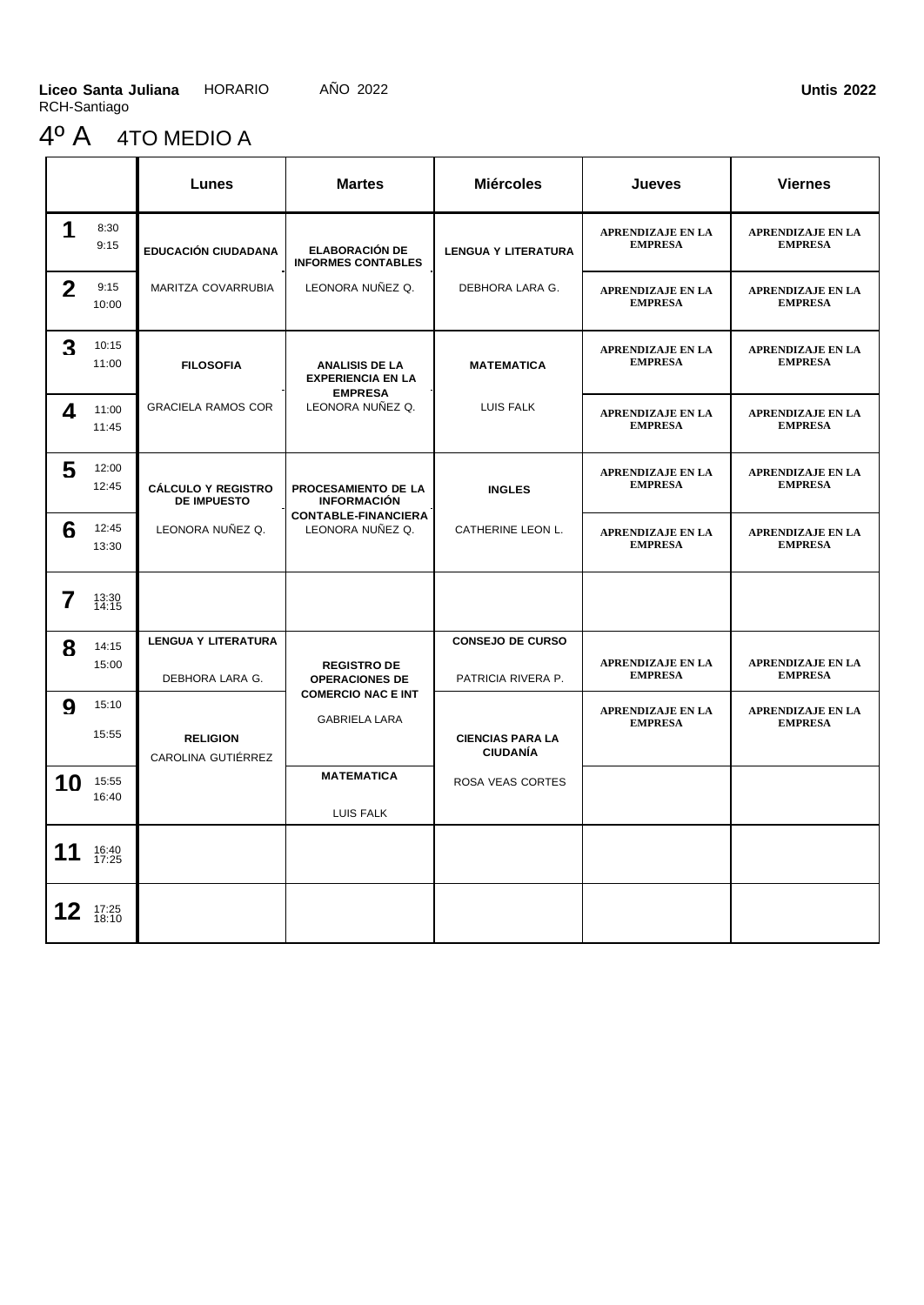# 4º A 4TO MEDIO A

|                  |                | Lunes                                           | <b>Martes</b>                                      | <b>Miércoles</b>                              | <b>Jueves</b>                              | <b>Viernes</b>                             |
|------------------|----------------|-------------------------------------------------|----------------------------------------------------|-----------------------------------------------|--------------------------------------------|--------------------------------------------|
| 1                | 8:30<br>9:15   | <b>EDUCACIÓN CIUDADANA</b>                      | <b>ELABORACIÓN DE</b><br><b>INFORMES CONTABLES</b> | <b>LENGUA Y LITERATURA</b>                    | <b>APRENDIZAJE EN LA</b><br><b>EMPRESA</b> | <b>APRENDIZAJE EN LA</b><br><b>EMPRESA</b> |
| $\mathbf 2$      | 9:15<br>10:00  | MARITZA COVARRUBIA                              | LEONORA NUÑEZ Q.                                   | DEBHORA LARA G.                               | <b>APRENDIZAJE EN LA</b><br><b>EMPRESA</b> | <b>APRENDIZAJE EN LA</b><br><b>EMPRESA</b> |
| 3                | 10:15<br>11:00 | <b>FILOSOFIA</b>                                | <b>ANALISIS DE LA</b><br><b>EXPERIENCIA EN LA</b>  | <b>MATEMATICA</b>                             | <b>APRENDIZAJE EN LA</b><br><b>EMPRESA</b> | <b>APRENDIZAJE EN LA</b><br><b>EMPRESA</b> |
| 4                | 11:00<br>11:45 | <b>GRACIELA RAMOS COR</b>                       | <b>EMPRESA</b><br>LEONORA NUÑEZ Q.                 | <b>LUIS FALK</b>                              | <b>APRENDIZAJE EN LA</b><br><b>EMPRESA</b> | <b>APRENDIZAJE EN LA</b><br><b>EMPRESA</b> |
| 5                | 12:00<br>12:45 | <b>CÁLCULO Y REGISTRO</b><br><b>DE IMPUESTO</b> | PROCESAMIENTO DE LA<br><b>INFORMACIÓN</b>          | <b>INGLES</b>                                 | <b>APRENDIZAJE EN LA</b><br><b>EMPRESA</b> | <b>APRENDIZAJE EN LA</b><br><b>EMPRESA</b> |
| 6                | 12:45<br>13:30 | LEONORA NUÑEZ Q.                                | <b>CONTABLE-FINANCIERA</b><br>LEONORA NUÑEZ Q.     | CATHERINE LEON L.                             | <b>APRENDIZAJE EN LA</b><br><b>EMPRESA</b> | <b>APRENDIZAJE EN LA</b><br><b>EMPRESA</b> |
| 7                | 13:30<br>14:15 |                                                 |                                                    |                                               |                                            |                                            |
| 8                | 14:15<br>15:00 | <b>LENGUA Y LITERATURA</b><br>DEBHORA LARA G.   | <b>REGISTRO DE</b><br><b>OPERACIONES DE</b>        | <b>CONSEJO DE CURSO</b><br>PATRICIA RIVERA P. | <b>APRENDIZAJE EN LA</b><br><b>EMPRESA</b> | <b>APRENDIZAJE EN LA</b><br><b>EMPRESA</b> |
| $\boldsymbol{Q}$ | 15:10<br>15:55 | <b>RELIGION</b><br>CAROLINA GUTIÉRREZ           | <b>COMERCIO NAC E INT</b><br><b>GABRIELA LARA</b>  | <b>CIENCIAS PARA LA</b><br><b>CIUDANÍA</b>    | <b>APRENDIZAJE EN LA</b><br><b>EMPRESA</b> | <b>APRENDIZAJE EN LA</b><br><b>EMPRESA</b> |
| 10               | 15:55<br>16:40 |                                                 | <b>MATEMATICA</b><br>LUIS FALK                     | ROSA VEAS CORTES                              |                                            |                                            |
| 11               | 16:40<br>17:25 |                                                 |                                                    |                                               |                                            |                                            |
| 12               | 17:25<br>18:10 |                                                 |                                                    |                                               |                                            |                                            |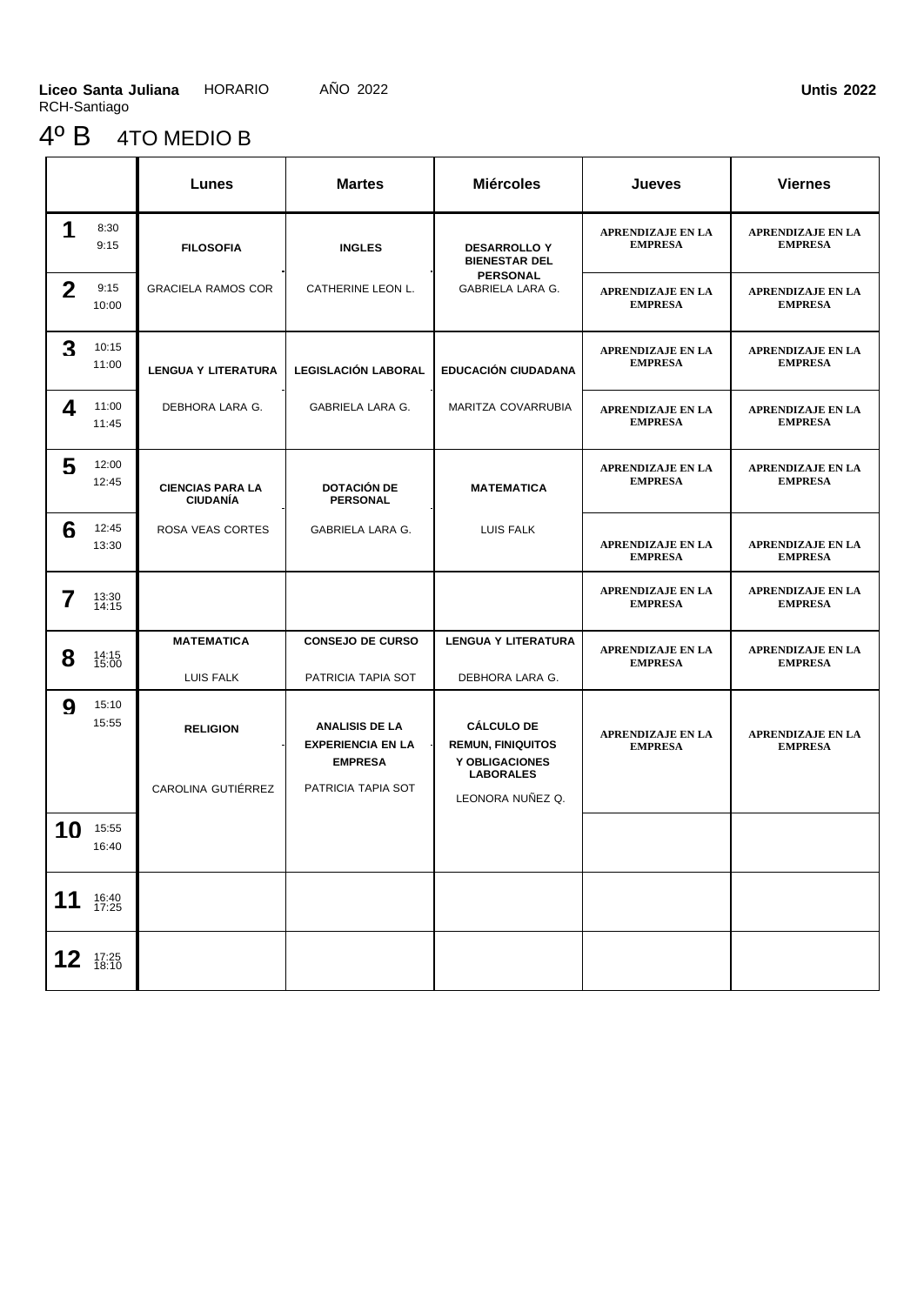# 4º B 4TO MEDIO B

|              |                | Lunes                                      | <b>Martes</b>                                                                             | <b>Miércoles</b>                                                                                        | Jueves                                     | <b>Viernes</b>                             |
|--------------|----------------|--------------------------------------------|-------------------------------------------------------------------------------------------|---------------------------------------------------------------------------------------------------------|--------------------------------------------|--------------------------------------------|
| 1            | 8:30<br>9:15   | <b>FILOSOFIA</b>                           | <b>INGLES</b>                                                                             | <b>DESARROLLO Y</b><br><b>BIENESTAR DEL</b>                                                             | <b>APRENDIZAJE EN LA</b><br><b>EMPRESA</b> | <b>APRENDIZAJE EN LA</b><br><b>EMPRESA</b> |
| $\mathbf{2}$ | 9:15<br>10:00  | <b>GRACIELA RAMOS COR</b>                  | CATHERINE LEON L.                                                                         | <b>PERSONAL</b><br>GABRIELA LARA G.                                                                     | <b>APRENDIZAJE EN LA</b><br><b>EMPRESA</b> | APRENDIZAJE EN LA<br><b>EMPRESA</b>        |
| 3            | 10:15<br>11:00 | <b>LENGUA Y LITERATURA</b>                 | LEGISLACIÓN LABORAL                                                                       | <b>EDUCACIÓN CIUDADANA</b>                                                                              | <b>APRENDIZAJE EN LA</b><br><b>EMPRESA</b> | <b>APRENDIZAJE EN LA</b><br><b>EMPRESA</b> |
| 4            | 11:00<br>11:45 | DEBHORA LARA G.                            | GABRIELA LARA G.                                                                          | MARITZA COVARRUBIA                                                                                      | <b>APRENDIZAJE EN LA</b><br><b>EMPRESA</b> | <b>APRENDIZAJE EN LA</b><br><b>EMPRESA</b> |
| 5            | 12:00<br>12:45 | <b>CIENCIAS PARA LA</b><br><b>CIUDANIA</b> | <b>DOTACIÓN DE</b><br><b>PERSONAL</b>                                                     | <b>MATEMATICA</b>                                                                                       | <b>APRENDIZAJE EN LA</b><br><b>EMPRESA</b> | APRENDIZAJE EN LA<br><b>EMPRESA</b>        |
| 6            | 12:45<br>13:30 | ROSA VEAS CORTES                           | GABRIELA LARA G.                                                                          | LUIS FALK                                                                                               | <b>APRENDIZAJE EN LA</b><br><b>EMPRESA</b> | <b>APRENDIZAJE EN LA</b><br><b>EMPRESA</b> |
| 7            | 13:30<br>14:15 |                                            |                                                                                           |                                                                                                         | <b>APRENDIZAJE EN LA</b><br><b>EMPRESA</b> | APRENDIZAJE EN LA<br><b>EMPRESA</b>        |
| 8            | 14:15<br>15:00 | <b>MATEMATICA</b><br>LUIS FALK             | <b>CONSEJO DE CURSO</b><br>PATRICIA TAPIA SOT                                             | <b>LENGUA Y LITERATURA</b><br>DEBHORA LARA G.                                                           | <b>APRENDIZAJE EN LA</b><br><b>EMPRESA</b> | <b>APRENDIZAJE EN LA</b><br><b>EMPRESA</b> |
| 9            | 15:10<br>15:55 | <b>RELIGION</b><br>CAROLINA GUTIÉRREZ      | <b>ANALISIS DE LA</b><br><b>EXPERIENCIA EN LA</b><br><b>EMPRESA</b><br>PATRICIA TAPIA SOT | <b>CÁLCULO DE</b><br><b>REMUN, FINIQUITOS</b><br>Y OBLIGACIONES<br><b>LABORALES</b><br>LEONORA NUÑEZ Q. | <b>APRENDIZAJE EN LA</b><br><b>EMPRESA</b> | <b>APRENDIZAJE EN LA</b><br><b>EMPRESA</b> |
| 10           | 15:55<br>16:40 |                                            |                                                                                           |                                                                                                         |                                            |                                            |
| 11           | 16:40<br>17:25 |                                            |                                                                                           |                                                                                                         |                                            |                                            |
|              | 12 $17:25$     |                                            |                                                                                           |                                                                                                         |                                            |                                            |